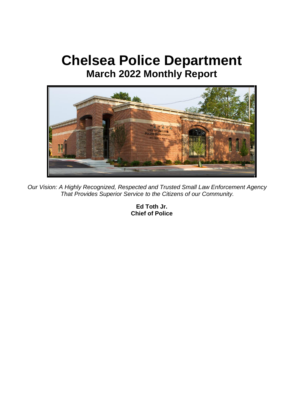# **Chelsea Police Department March 2022 Monthly Report**



*Our Vision: A Highly Recognized, Respected and Trusted Small Law Enforcement Agency That Provides Superior Service to the Citizens of our Community.*

**Ed Toth Jr. Chief of Police**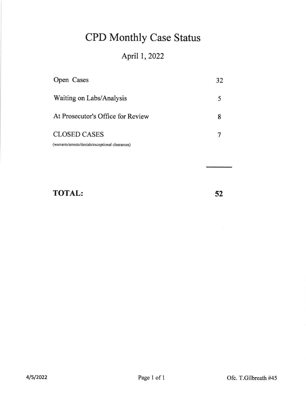# **CPD Monthly Case Status**

# April 1, 2022

| Open Cases                                        | 32 |
|---------------------------------------------------|----|
| Waiting on Labs/Analysis                          |    |
| At Prosecutor's Office for Review                 |    |
| <b>CLOSED CASES</b>                               |    |
| (warrants/arrests/denials/exceptional clearances) |    |

# **TOTAL:**

52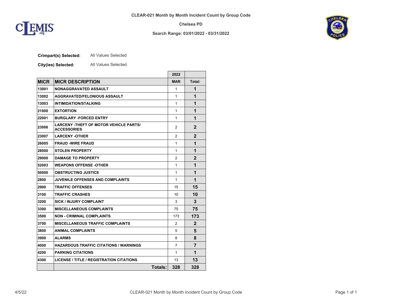

#### **Search Range: 03/01/2022 - 03/31/2022**



#### **Crimpart(s) Selected:** All Values Selected

**City(ies) Selected:** All Values Selected

|             |                                                                     | 2022       |             |
|-------------|---------------------------------------------------------------------|------------|-------------|
| <b>MICR</b> | <b>MICR DESCRIPTION</b>                                             | <b>MAR</b> | Total:      |
| 13001       | <b>NONAGGRAVATED ASSAULT</b>                                        | 1          | 1           |
| 13002       | <b>AGGRAVATED/FELONIOUS ASSAULT</b>                                 | 1          | 1           |
| 13003       | <b>INTIMIDATION/STALKING</b>                                        | 1          | 1           |
| 21000       | <b>EXTORTION</b>                                                    | 1          | 1           |
| 22001       | <b>BURGLARY -FORCED ENTRY</b>                                       | 1          | 1           |
| 23006       | <b>LARCENY -THEFT OF MOTOR VEHICLE PARTS/</b><br><b>ACCESSORIES</b> | 2          | 2           |
| 23007       | <b>LARCENY -OTHER</b>                                               | 2          | $\mathbf 2$ |
| 26005       | <b>FRAUD -WIRE FRAUD</b>                                            | 1          | 1           |
| 28000       | <b>STOLEN PROPERTY</b>                                              | 1          | 1           |
| 29000       | <b>DAMAGE TO PROPERTY</b>                                           | 2          | 2           |
| 52003       | <b>WEAPONS OFFENSE -OTHER</b>                                       | 1          | 1           |
| 50000       | <b>OBSTRUCTING JUSTICE</b>                                          | 1          | 1           |
| 2800        | <b>JUVENILE OFFENSES AND COMPLAINTS</b>                             | 1          | 1           |
| 2900        | <b>TRAFFIC OFFENSES</b>                                             | 15         | 15          |
| 3100        | <b>TRAFFIC CRASHES</b>                                              | 10         | 10          |
| 3200        | <b>SICK / INJURY COMPLAINT</b>                                      | 3          | 3           |
| 3300        | <b>MISCELLANEOUS COMPLAINTS</b>                                     | 75         | 75          |
| 3500        | <b>NON - CRIMINAL COMPLAINTS</b>                                    | 173        | 173         |
| 3700        | <b>MISCELLANEOUS TRAFFIC COMPLAINTS</b>                             | 2          | 2           |
| 3800        | <b>ANIMAL COMPLAINTS</b>                                            | 5          | 5           |
| 3900        | <b>ALARMS</b>                                                       | 8          | 8           |
| 4000        | <b>HAZARDOUS TRAFFIC CITATIONS / WARNINGS</b>                       | 7          | 7           |
| 4200        | <b>PARKING CITATIONS</b>                                            | 1          | 1           |
| 4300        | <b>LICENSE / TITLE / REGISTRATION CITATIONS</b>                     | 13         | 13          |
|             | Totals:                                                             | 328        | 328         |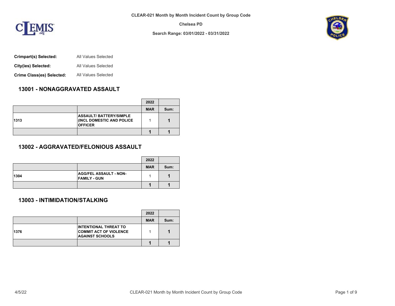

**Search Range: 03/01/2022 - 03/31/2022**



- **Crimpart(s) Selected:** All Values Selected
- **City(ies) Selected:** All Values Selected
- **Crime Class(es) Selected:** All Values Selected

# **13001 - NONAGGRAVATED ASSAULT**

|      |                                                                              | 2022       |      |
|------|------------------------------------------------------------------------------|------------|------|
|      |                                                                              | <b>MAR</b> | Sum: |
| 1313 | <b>ASSAULT/BATTERY/SIMPLE</b><br>(INCL DOMESTIC AND POLICE<br><b>OFFICER</b> |            |      |
|      |                                                                              |            |      |

## **13002 - AGGRAVATED/FELONIOUS ASSAULT**

|      |                                                      | 2022       |      |
|------|------------------------------------------------------|------------|------|
|      |                                                      | <b>MAR</b> | Sum: |
| 1304 | <b>AGG/FEL ASSAULT - NON-</b><br><b>FAMILY - GUN</b> |            |      |
|      |                                                      |            |      |

### **13003 - INTIMIDATION/STALKING**

|      |                                                                                         | 2022       |      |
|------|-----------------------------------------------------------------------------------------|------------|------|
|      |                                                                                         | <b>MAR</b> | Sum: |
| 1376 | <b>INTENTIONAL THREAT TO</b><br><b>COMMIT ACT OF VIOLENCE</b><br><b>AGAINST SCHOOLS</b> |            |      |
|      |                                                                                         |            |      |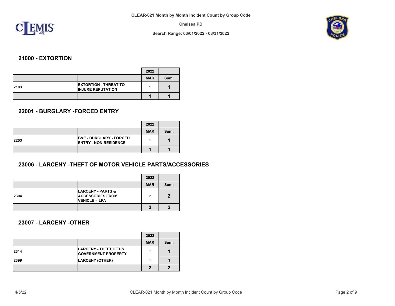

**Search Range: 03/01/2022 - 03/31/2022**



## **21000 - EXTORTION**

|      |                                                          | 2022       |      |
|------|----------------------------------------------------------|------------|------|
|      |                                                          | <b>MAR</b> | Sum: |
| 2103 | <b>EXTORTION - THREAT TO</b><br><b>INJURE REPUTATION</b> |            |      |
|      |                                                          |            |      |

### **22001 - BURGLARY -FORCED ENTRY**

|      |                                                                    | 2022       |      |
|------|--------------------------------------------------------------------|------------|------|
|      |                                                                    | <b>MAR</b> | Sum: |
| 2203 | <b>B&amp;E - BURGLARY - FORCED</b><br><b>ENTRY - NON-RESIDENCE</b> |            |      |
|      |                                                                    |            |      |

# **23006 - LARCENY -THEFT OF MOTOR VEHICLE PARTS/ACCESSORIES**

|      |                                                                          | 2022       |      |
|------|--------------------------------------------------------------------------|------------|------|
|      |                                                                          | <b>MAR</b> | Sum: |
| 2304 | <b>LARCENY - PARTS &amp;</b><br><b>ACCESSORIES FROM</b><br>VEHICLE - LFA | 2          | 2    |
|      |                                                                          |            |      |

# **23007 - LARCENY -OTHER**

|      |                                                            | 2022       |      |
|------|------------------------------------------------------------|------------|------|
|      |                                                            | <b>MAR</b> | Sum: |
| 2314 | <b>LARCENY - THEFT OF US</b><br><b>GOVERNMENT PROPERTY</b> |            |      |
| 2399 | <b>LARCENY (OTHER)</b>                                     |            |      |
|      |                                                            |            |      |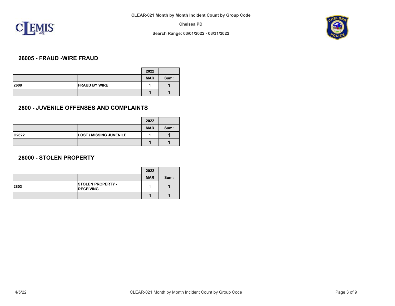

**Search Range: 03/01/2022 - 03/31/2022**



## **26005 - FRAUD -WIRE FRAUD**

|      |                      | 2022       |      |
|------|----------------------|------------|------|
|      |                      | <b>MAR</b> | Sum: |
| 2608 | <b>FRAUD BY WIRE</b> |            |      |
|      |                      |            |      |

### **2800 - JUVENILE OFFENSES AND COMPLAINTS**

|       |                                | 2022       |      |
|-------|--------------------------------|------------|------|
|       |                                | <b>MAR</b> | Sum: |
| C2822 | <b>LOST / MISSING JUVENILE</b> |            |      |
|       |                                |            |      |

### **28000 - STOLEN PROPERTY**

|      |                                              | 2022       |      |
|------|----------------------------------------------|------------|------|
|      |                                              | <b>MAR</b> | Sum: |
| 2803 | <b>STOLEN PROPERTY -</b><br><b>RECEIVING</b> |            |      |
|      |                                              |            |      |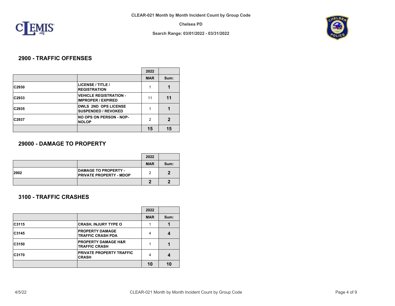

**Search Range: 03/01/2022 - 03/31/2022**



# **2900 - TRAFFIC OFFENSES**

|       |                                                            | 2022       |      |
|-------|------------------------------------------------------------|------------|------|
|       |                                                            | <b>MAR</b> | Sum: |
| C2930 | LICENSE / TITLE /<br><b>REGISTRATION</b>                   |            |      |
| C2933 | <b>VEHICLE REGISTRATION -</b><br><b>IMPROPER / EXPIRED</b> | 11         | 11   |
| C2935 | <b>DWLS 2ND OPS LICENSE</b><br><b>SUSPENDED / REVOKED</b>  |            |      |
| C2937 | <b>NO OPS ON PERSON - NOP-</b><br><b>NOLOP</b>             | 2          | 2    |
|       |                                                            | 15         | 15   |

### **29000 - DAMAGE TO PROPERTY**

|      |                                                               | 2022       |      |
|------|---------------------------------------------------------------|------------|------|
|      |                                                               | <b>MAR</b> | Sum: |
| 2902 | <b>DAMAGE TO PROPERTY -</b><br><b>PRIVATE PROPERTY - MDOP</b> |            |      |
|      |                                                               |            |      |

## **3100 - TRAFFIC CRASHES**

|       |                                                        | 2022       |      |
|-------|--------------------------------------------------------|------------|------|
|       |                                                        | <b>MAR</b> | Sum: |
| C3115 | <b>CRASH, INJURY TYPE O</b>                            |            |      |
| C3145 | <b>PROPERTY DAMAGE</b><br><b>TRAFFIC CRASH PDA</b>     | 4          |      |
| C3150 | <b>PROPERTY DAMAGE H&amp;R</b><br><b>TRAFFIC CRASH</b> |            |      |
| C3170 | PRIVATE PROPERTY TRAFFIC<br><b>CRASH</b>               | 4          |      |
|       |                                                        | 10         | 10   |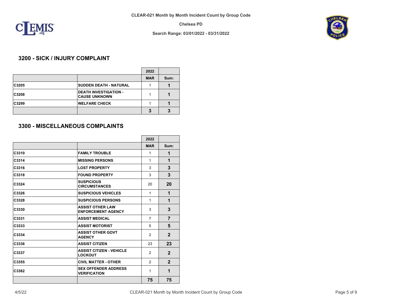

**Search Range: 03/01/2022 - 03/31/2022**



## **3200 - SICK / INJURY COMPLAINT**

|              |                                                      | 2022       |      |
|--------------|------------------------------------------------------|------------|------|
|              |                                                      | <b>MAR</b> | Sum: |
| C3205        | <b>SUDDEN DEATH - NATURAL</b>                        |            |      |
| <b>C3208</b> | <b>DEATH INVESTIGATION -</b><br><b>CAUSE UNKNOWN</b> |            |      |
| C3299        | <b>WELFARE CHECK</b>                                 |            |      |
|              |                                                      |            |      |

### **3300 - MISCELLANEOUS COMPLAINTS**

|       |                                                      | 2022           |                |
|-------|------------------------------------------------------|----------------|----------------|
|       |                                                      | <b>MAR</b>     | Sum:           |
| C3310 | <b>FAMILY TROUBLE</b>                                | 1              | 1              |
| C3314 | <b>MISSING PERSONS</b>                               | 1              | 1              |
| C3316 | <b>LOST PROPERTY</b>                                 | 3              | 3              |
| C3318 | <b>FOUND PROPERTY</b>                                | 3              | 3              |
| C3324 | <b>SUSPICIOUS</b><br><b>CIRCUMSTANCES</b>            | 20             | 20             |
| C3326 | <b>SUSPICIOUS VEHICLES</b>                           | 1              | 1              |
| C3328 | <b>SUSPICIOUS PERSONS</b>                            | 1              | 1              |
| C3330 | <b>ASSIST OTHER LAW</b><br><b>ENFORCEMENT AGENCY</b> | 3              | 3              |
| C3331 | <b>ASSIST MEDICAL</b>                                | $\overline{7}$ | $\overline{7}$ |
| C3333 | <b>ASSIST MOTORIST</b>                               | 5              | 5              |
| C3334 | <b>ASSIST OTHER GOVT</b><br><b>AGENCY</b>            | 2              | $\overline{2}$ |
| C3336 | <b>ASSIST CITIZEN</b>                                | 23             | 23             |
| C3337 | <b>ASSIST CITIZEN - VEHICLE</b><br><b>LOCKOUT</b>    | 2              | $\overline{2}$ |
| C3355 | <b>CIVIL MATTER - OTHER</b>                          | $\mathcal{P}$  | $\overline{2}$ |
| C3382 | <b>SEX OFFENDER ADDRESS</b><br><b>VERIFICATION</b>   | 1              | 1              |
|       |                                                      | 75             | 75             |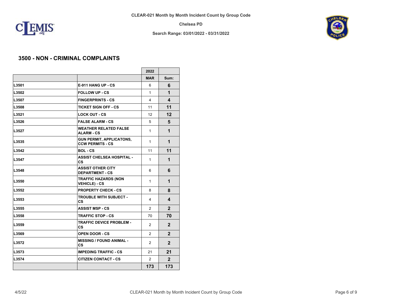

**Search Range: 03/01/2022 - 03/31/2022**



## **3500 - NON - CRIMINAL COMPLAINTS**

|       |                                                            | 2022           |                |
|-------|------------------------------------------------------------|----------------|----------------|
|       |                                                            | <b>MAR</b>     | Sum:           |
| L3501 | <b>E-911 HANG UP - CS</b>                                  | 6              | 6              |
| L3502 | <b>FOLLOW UP - CS</b>                                      | 1              | 1              |
| L3507 | <b>FINGERPRINTS - CS</b>                                   | 4              | 4              |
| L3508 | <b>TICKET SIGN OFF - CS</b>                                | 11             | 11             |
| L3521 | <b>LOCK OUT - CS</b>                                       | 12             | 12             |
| L3526 | <b>FALSE ALARM - CS</b>                                    | 5              | 5              |
| L3527 | <b>WEATHER RELATED FALSE</b><br><b>ALARM - CS</b>          | 1              | 1              |
| L3535 | <b>GUN PERMIT, APPLICATONS,</b><br><b>CCW PERMITS - CS</b> | 1              | 1              |
| L3542 | <b>BOL-CS</b>                                              | 11             | 11             |
| L3547 | <b>ASSIST CHELSEA HOSPITAL -</b><br><b>CS</b>              | 1              | 1              |
| L3548 | <b>ASSIST OTHER CITY</b><br><b>DEPARTMENT - CS</b>         | 6              | 6              |
| L3550 | <b>TRAFFIC HAZARDS (NON</b><br><b>VEHICLE) - CS</b>        | 1              | 1              |
| L3552 | <b>PROPERTY CHECK - CS</b>                                 | 8              | 8              |
| L3553 | <b>TROUBLE WITH SUBJECT -</b><br><b>CS</b>                 | 4              | 4              |
| L3555 | <b>ASSIST MSP - CS</b>                                     | $\mathcal{P}$  | $\overline{2}$ |
| L3558 | <b>TRAFFIC STOP - CS</b>                                   | 70             | 70             |
| L3559 | <b>TRAFFIC DEVICE PROBLEM -</b><br><b>CS</b>               | $\overline{2}$ | $\mathbf{2}$   |
| L3569 | <b>OPEN DOOR - CS</b>                                      | 2              | $\mathbf{2}$   |
| L3572 | <b>MISSING / FOUND ANIMAL -</b><br>СS                      | 2              | $\mathbf{2}$   |
| L3573 | <b>IMPEDING TRAFFIC - CS</b>                               | 21             | 21             |
| L3574 | <b>CITIZEN CONTACT - CS</b>                                | 2              | $\overline{2}$ |
|       |                                                            | 173            | 173            |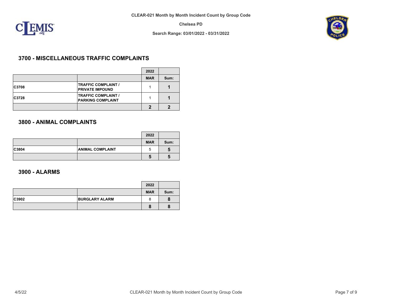

**Search Range: 03/01/2022 - 03/31/2022**



## **3700 - MISCELLANEOUS TRAFFIC COMPLAINTS**

|       |                                                        | 2022       |      |
|-------|--------------------------------------------------------|------------|------|
|       |                                                        | <b>MAR</b> | Sum: |
| C3708 | <b>TRAFFIC COMPLAINT /</b><br><b>PRIVATE IMPOUND</b>   |            |      |
| C3728 | <b>TRAFFIC COMPLAINT /</b><br><b>PARKING COMPLAINT</b> |            |      |
|       |                                                        |            |      |

## **3800 - ANIMAL COMPLAINTS**

|       |                         | 2022       |      |
|-------|-------------------------|------------|------|
|       |                         | <b>MAR</b> | Sum: |
| C3804 | <b>ANIMAL COMPLAINT</b> | b          |      |
|       |                         |            |      |

### **3900 - ALARMS**

|       |                       | 2022       |      |
|-------|-----------------------|------------|------|
|       |                       | <b>MAR</b> | Sum: |
| C3902 | <b>BURGLARY ALARM</b> |            |      |
|       |                       |            |      |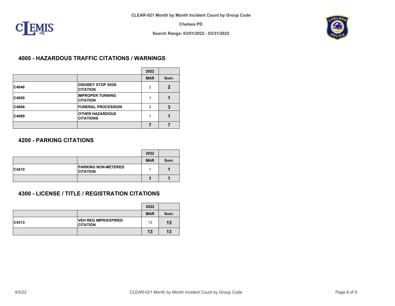

**Search Range: 03/01/2022 - 03/31/2022**



## **4000 - HAZARDOUS TRAFFIC CITATIONS / WARNINGS**

|       |                                             | 2022       |              |
|-------|---------------------------------------------|------------|--------------|
|       |                                             | <b>MAR</b> | Sum:         |
| C4046 | <b>DISOBEY STOP SIGN</b><br><b>CITATION</b> | 2          | $\mathbf{2}$ |
| C4050 | <b>IMPROPER TURNING</b><br><b>CITATION</b>  |            |              |
| C4068 | <b>FUNERAL PROCESSION</b>                   | 3          | 3            |
| C4099 | <b>OTHER HAZARDOUS</b><br><b>CITATIONS</b>  |            |              |
|       |                                             |            |              |

## **4200 - PARKING CITATIONS**

|       |                                               | 2022       |      |
|-------|-----------------------------------------------|------------|------|
|       |                                               | <b>MAR</b> | Sum: |
| C4210 | <b>PARKING NON-METERED</b><br><b>CITATION</b> |            |      |
|       |                                               |            |      |

# **4300 - LICENSE / TITLE / REGISTRATION CITATIONS**

|       |                                                | 2022       |      |
|-------|------------------------------------------------|------------|------|
|       |                                                | <b>MAR</b> | Sum: |
| C4313 | <b>VEH REG IMPR/EXPIRED</b><br><b>CITATION</b> | 13         | 13   |
|       |                                                | 13         | 13   |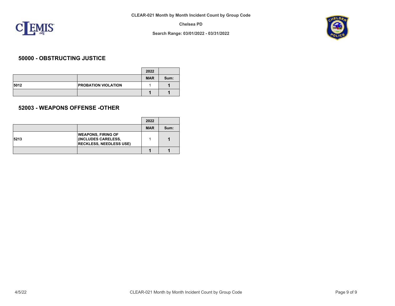

**Search Range: 03/01/2022 - 03/31/2022**



## **50000 - OBSTRUCTING JUSTICE**

|      |                            | 2022       |      |
|------|----------------------------|------------|------|
|      |                            | <b>MAR</b> | Sum: |
| 5012 | <b>PROBATION VIOLATION</b> |            |      |
|      |                            |            |      |

## **52003 - WEAPONS OFFENSE -OTHER**

|      |                                                                                    | 2022       |      |
|------|------------------------------------------------------------------------------------|------------|------|
|      |                                                                                    | <b>MAR</b> | Sum: |
| 5213 | <b>WEAPONS, FIRING OF</b><br>(INCLUDES CARELESS,<br><b>RECKLESS, NEEDLESS USE)</b> |            |      |
|      |                                                                                    |            |      |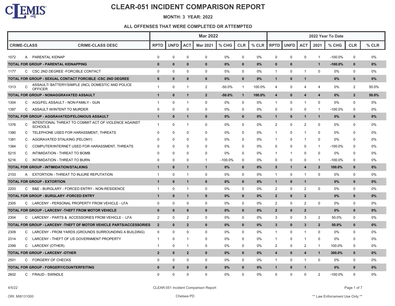

#### **MONTH: 3 YEAR: 2022**

|                    |   |                                                                        | <b>Mar 2022</b> |              |                |                 |           |              | 2022 Year To Date |                         |              |                |                |           |                |         |
|--------------------|---|------------------------------------------------------------------------|-----------------|--------------|----------------|-----------------|-----------|--------------|-------------------|-------------------------|--------------|----------------|----------------|-----------|----------------|---------|
| <b>CRIME-CLASS</b> |   | <b>CRIME-CLASS DESC</b>                                                | <b>RPTD</b>     | <b>UNFD</b>  | <b>ACT</b>     | <b>Mar 2021</b> | % CHG     | <b>CLR</b>   | $%$ CLR           | <b>RPTD</b>             | <b>UNFD</b>  | <b>ACT</b>     | 2021           | % CHG     | <b>CLR</b>     | $%$ CLR |
| 1072               |   | A PARENTAL KIDNAP                                                      | 0               | $\Omega$     | $\Omega$       | 0               | 0%        | $\Omega$     | 0%                | 0                       | 0            | $\pmb{0}$      | $\mathbf{1}$   | $-100.0%$ | $\mathbf 0$    | 0%      |
|                    |   | TOTAL FOR GROUP - PARENTAL KIDNAPPING                                  | $\bf{0}$        | $\bf{0}$     | $\bf{0}$       | $\bf{0}$        | 0%        | $\mathbf 0$  | $0\%$             | $\bf{0}$                | $\mathbf 0$  |                | $\mathbf{1}$   | $-100.0%$ | $\mathbf 0$    | 0%      |
| 1177               |   | C CSC 2ND DEGREE - FORCIBLE CONTACT                                    | $\Omega$        | $\Omega$     | $\Omega$       | 0               | 0%        | 0            | 0%                | $\mathbf{1}$            | 0            | 1              | 0              | $0\%$     | 0              | 0%      |
|                    |   | TOTAL FOR GROUP - SEXUAL CONTACT FORCIBLE -CSC 2ND DEGREE              | $\mathbf{0}$    | $\mathbf{0}$ | $\mathbf{0}$   | $\mathbf{0}$    | 0%        | $\mathbf{0}$ | $0\%$             | $\mathbf{1}$            | $\mathbf 0$  | $\mathbf{1}$   |                | 0%        | $\mathbf{0}$   | 0%      |
| 1313               | C | ASSAULT/BATTERY/SIMPLE (INCL DOMESTIC AND POLICE<br><b>OFFICER</b>     | $\mathbf{1}$    | $\Omega$     | -1             | 2               | -50.0%    | -1           | 100.0%            | 4                       | 0            | 4              | $\overline{4}$ | $0\%$     | $\overline{2}$ | 50.0%   |
|                    |   | TOTAL FOR GROUP - NONAGGRAVATED ASSAULT                                | $\mathbf{1}$    | $\mathbf 0$  | $\mathbf{1}$   | $\overline{2}$  | $-50.0%$  | $\mathbf{1}$ | 100.0%            | $\overline{\mathbf{4}}$ | $\bf{0}$     | 4              | 4              | $0\%$     | $\overline{2}$ | 50.0%   |
| 1304               | C | AGG/FEL ASSAULT - NON-FAMILY - GUN                                     | 1               | $\Omega$     | $\mathbf 1$    | $\mathbf 0$     | 0%        | $\mathbf 0$  | 0%                | $\mathbf{1}$            | $\mathbf 0$  | 1              | $\mathbf 0$    | $0\%$     | $\mathbf 0$    | 0%      |
| 1397               | C | ASSAULT W/INTENT TO MURDER                                             | 0               | 0            | $\mathbf 0$    | 0               | 0%        | 0            | 0%                | 0                       | 0            | 0              | -1             | $-100.0%$ | 0              | 0%      |
|                    |   | TOTAL FOR GROUP - AGGRAVATED/FELONIOUS ASSAULT                         | $\mathbf{1}$    | $\bf{0}$     | $\mathbf 1$    | $\bf{0}$        | 0%        | $\mathbf 0$  | $0\%$             | $\mathbf{1}$            | $\mathbf{0}$ | $\mathbf{1}$   | $\mathbf{1}$   | $0\%$     | $\mathbf 0$    | 0%      |
| 1376               | C | INTENTIONAL THREAT TO COMMIT ACT OF VIOLENCE AGAINST<br><b>SCHOOLS</b> | $\mathbf{1}$    | $\Omega$     | -1             | 0               | 0%        | 0            | 0%                | 2                       | 0            | $\overline{2}$ | $\mathbf 0$    | 0%        | $\mathbf 0$    | 0%      |
| 1380               | C | TELEPHONE USED FOR HARASSMENT, THREATS                                 | $\Omega$        | $\Omega$     | $\Omega$       | $\Omega$        | 0%        | $\Omega$     | 0%                | $\mathbf{1}$            | 0            | 1              | 0              | 0%        | $\Omega$       | 0%      |
| 1381               | C | AGGRAVATED STALKING (FELONY)                                           | $\Omega$        | $\Omega$     | $\Omega$       | $\Omega$        | 0%        | 0            | 0%                | $\mathbf{1}$            | $\mathbf{0}$ | $\mathbf{1}$   | $\mathbf{0}$   | $0\%$     | $\Omega$       | 0%      |
| 1384               | C | COMPUTER/INTERNET USED FOR HARASSMENT, THREATS                         | $\Omega$        | $\Omega$     | $\Omega$       | $\Omega$        | 0%        | 0            | 0%                | $\Omega$                | $\mathbf 0$  | $\mathbf 0$    | $\overline{1}$ | -100.0%   | $\Omega$       | 0%      |
| 5215               | C | INTIMIDATION - THREAT TO BOMB                                          | $\Omega$        | $\Omega$     | $\Omega$       | $\Omega$        | 0%        | $\Omega$     | 0%                | 1                       | $\mathbf{1}$ | 0              | $\mathbf{0}$   | $0\%$     | $\Omega$       | 0%      |
| 5216               | C | INTIMIDATION - THREAT TO BURN                                          | $\Omega$        | $\Omega$     | $\Omega$       | $\overline{1}$  | $-100.0%$ | 0            | 0%                | $\Omega$                | $\mathbf 0$  | $\mathbf 0$    | $\overline{1}$ | $-100.0%$ | $\Omega$       | 0%      |
|                    |   | TOTAL FOR GROUP - INTIMIDATION/STALKING                                | $\mathbf{1}$    | $\mathbf 0$  | $\mathbf{1}$   | $\mathbf{1}$    | 0%        | $\mathbf 0$  | $0\%$             | 5                       | $\mathbf{1}$ | 4              | $\overline{2}$ | 100.0%    | $\mathbf 0$    | 0%      |
| 2103               | A | EXTORTION - THREAT TO INJURE REPUTATION                                | $\mathbf{1}$    | $\Omega$     | -1             | $\mathbf 0$     | 0%        | 0            | $0\%$             | $\mathbf{1}$            | 0            | 1              | $\mathbf 0$    | 0%        | $\mathbf 0$    | 0%      |
|                    |   | <b>TOTAL FOR GROUP - EXTORTION</b>                                     | $\mathbf{1}$    | $\bf{0}$     | 1              | $\bf{0}$        | 0%        | $\mathbf{0}$ | $0\%$             | $\mathbf{1}$            | $\mathbf{0}$ | $\mathbf{1}$   |                | 0%        | $\mathbf 0$    | 0%      |
| 2203               | C | B&E - BURGLARY - FORCED ENTRY - NON-RESIDENCE                          | $\mathbf{1}$    | 0            | -1             | $\mathbf 0$     | 0%        | $\mathbf 0$  | 0%                | $\overline{2}$          | $\mathbf 0$  | $\overline{2}$ | $\mathbf 0$    | 0%        | $\mathbf 0$    | 0%      |
|                    |   | TOTAL FOR GROUP - BURGLARY -FORCED ENTRY                               | $\mathbf{1}$    | $\bf{0}$     | 1              | $\mathbf{0}$    | 0%        | $\mathbf{0}$ | $0\%$             | $\overline{2}$          | $\mathbf{0}$ | $\overline{2}$ |                | 0%        | $\mathbf{0}$   | 0%      |
| 2305               |   | C LARCENY - PERSONAL PROPERTY FROM VEHICLE - LFA                       | $\Omega$        | $\Omega$     | $\mathbf 0$    | 0               | 0%        | 0            | 0%                | $\overline{2}$          | 0            | $\overline{2}$ | $\mathbf 0$    | 0%        | $\mathbf 0$    | 0%      |
|                    |   | TOTAL FOR GROUP - LARCENY - THEFT FROM MOTOR VEHICLE                   | $\bf{0}$        | $\mathbf{0}$ | $\bf{0}$       | $\mathbf{0}$    | 0%        | $\mathbf{0}$ | $0\%$             | $\overline{2}$          | $\mathbf 0$  | $\overline{2}$ |                | $0\%$     | $\mathbf{0}$   | 0%      |
| 2304               |   | C LARCENY - PARTS & ACCESSORIES FROM VEHICLE - LFA                     | $\overline{2}$  | $\Omega$     | $\overline{2}$ | $\mathbf 0$     | 0%        | $\mathbf 0$  | 0%                | 3                       | 0            | 3              | 2              | 50.0%     | $\mathbf 0$    | 0%      |
|                    |   | TOTAL FOR GROUP - LARCENY - THEFT OF MOTOR VEHICLE PARTS/ACCESSORIES   | $\overline{2}$  | $\bf{0}$     | $\overline{2}$ | $\mathbf{0}$    | 0%        | $\mathbf{0}$ | $0\%$             | 3                       | $\mathbf{0}$ | 3              | $\overline{2}$ | 50.0%     | $\mathbf{0}$   | 0%      |
| 2309               | C | LARCENY - FROM YARDS (GROUNDS SURROUNDING A BUILDING)                  | $\mathbf 0$     | $\Omega$     | $\Omega$       | $\mathbf 0$     | 0%        | 0            | 0%                | $\mathbf{1}$            | $\mathbf 0$  | 1              | $\mathbf 0$    | 0%        | $\mathbf 0$    | 0%      |
| 2314               | C | LARCENY - THEFT OF US GOVERNMENT PROPERTY                              | $\mathbf{1}$    | $\Omega$     | -1             | $\Omega$        | 0%        | $\Omega$     | 0%                | 1                       | 0            | 1              | $\mathbf 0$    | $0\%$     | $\Omega$       | 0%      |
| 2399               |   | C LARCENY (OTHER)                                                      | $\mathbf{1}$    | $\Omega$     | $\mathbf 1$    | $\Omega$        | 0%        | 0            | 0%                | $\overline{2}$          | $\mathbf 0$  | $\overline{a}$ | $\mathbf{1}$   | 100.0%    | $\mathbf 0$    | 0%      |
|                    |   | TOTAL FOR GROUP - LARCENY -OTHER                                       | $\overline{2}$  | $\mathbf 0$  | $\overline{2}$ | $\Omega$        | 0%        | $\bf{0}$     | $0\%$             | 4                       | $\mathbf 0$  | 4              | $\overline{1}$ | 300.0%    | $\mathbf 0$    | 0%      |
| 2501               | C | <b>FORGERY OF CHECKS</b>                                               | 0               | $\Omega$     | $\mathbf 0$    | 0               | 0%        | 0            | 0%                | $\mathbf{1}$            | 0            | 1              | 0              | 0%        | 0              | 0%      |
|                    |   | TOTAL FOR GROUP - FORGERY/COUNTERFEITING                               | $\bf{0}$        | $\bf{0}$     | $\mathbf{0}$   | $\mathbf{0}$    | 0%        | $\mathbf{0}$ | $0\%$             | $\mathbf{1}$            | $\mathbf{0}$ | $\mathbf{1}$   |                | $0\%$     | $\bf{0}$       | 0%      |
| 2602               |   | C FRAUD - SWINDLE                                                      | $\Omega$        | $\Omega$     | $\Omega$       | $\Omega$        | 0%        | $\Omega$     | 0%                | $\Omega$                | $\Omega$     | $\Omega$       | 2              | $-100.0%$ | $\Omega$       | 0%      |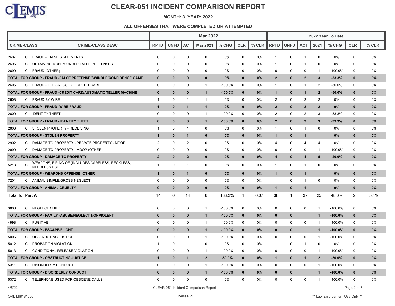

#### **MONTH: 3 YEAR: 2022**

|        |    |                                                                          |                |              |                | <b>Mar 2022</b>                      |            |              | 2022 Year To Date |                |              |                |                |            |                |         |
|--------|----|--------------------------------------------------------------------------|----------------|--------------|----------------|--------------------------------------|------------|--------------|-------------------|----------------|--------------|----------------|----------------|------------|----------------|---------|
|        |    | <b>CRIME-CLASS</b><br><b>CRIME-CLASS DESC</b>                            | <b>RPTD</b>    | <b>UNFD</b>  | <b>ACT</b>     | <b>Mar 2021</b>                      | $%$ CHG    | <b>CLR</b>   | % CLR             | <b>RPTD</b>    | <b>UNFD</b>  | <b>ACT</b>     | 2021           | % CHG      | <b>CLR</b>     | $%$ CLR |
| 2607   |    | C FRAUD - FALSE STATEMENTS                                               | $\Omega$       | $\Omega$     | 0              | 0                                    | 0%         | $\mathbf 0$  | 0%                | -1             | 0            | -1             | $\mathbf 0$    | 0%         | $\mathbf 0$    | 0%      |
| 2695   | C. | OBTAINING MONEY UNDER FALSE PRETENSES                                    | $\Omega$       | $\Omega$     | $\Omega$       | 0                                    | 0%         | $\Omega$     | $0\%$             | -1             | $\Omega$     | -1             | 0              | $0\%$      | 0              | 0%      |
| 2699   |    | C FRAUD (OTHER)                                                          | $\mathbf 0$    | $\Omega$     | 0              | 0                                    | 0%         | $\mathbf 0$  | $0\%$             | $\Omega$       | $\mathbf 0$  | $\Omega$       | $\mathbf{1}$   | -100.0%    | $\mathbf 0$    | 0%      |
|        |    | TOTAL FOR GROUP - FRAUD - FALSE PRETENSE/SWINDLE/CONFIDENCE GAME         | $\mathbf{0}$   | $\mathbf{0}$ | $\mathbf{0}$   | $\mathbf{0}$                         | 0%         | $\mathbf{0}$ | $0\%$             | $\mathbf{2}$   | $\mathbf{0}$ | $\overline{2}$ | $\mathbf{3}$   | $-33.3%$   | $\mathbf 0$    | 0%      |
| 2605   |    | C FRAUD - ILLEGAL USE OF CREDIT CARD                                     | $\Omega$       | $\mathbf 0$  | $\mathbf 0$    | $\overline{1}$                       | $-100.0%$  | $\mathbf 0$  | 0%                | $\mathbf{1}$   | $\mathbf 0$  | $\mathbf{1}$   | $\overline{2}$ | $-50.0%$   | $\mathbf 0$    | 0%      |
|        |    | TOTAL FOR GROUP - FRAUD - CREDIT CARD/AUTOMATIC TELLER MACHINE           | $\mathbf{0}$   | $\Omega$     | $\mathbf{0}$   | $\mathbf{1}$                         | $-100.0%$  | $\mathbf{0}$ | 0%                | $\mathbf{1}$   | $\mathbf{0}$ | $\mathbf{1}$   | $\overline{2}$ | $-50.0%$   | $\mathbf{0}$   | 0%      |
| 2608   |    | C FRAUD BY WIRE                                                          | $\mathbf{1}$   | $\mathbf 0$  | $\mathbf 1$    | $\overline{1}$                       | 0%         | 0            | 0%                | $\overline{c}$ | $\mathbf 0$  | $\overline{2}$ | $\overline{c}$ | 0%         | $\mathbf 0$    | 0%      |
|        |    | TOTAL FOR GROUP - FRAUD -WIRE FRAUD                                      | $\mathbf{1}$   | $\mathbf{0}$ | $\mathbf 1$    | $\mathbf{1}$                         | 0%         | $\mathbf{0}$ | 0%                | $\overline{2}$ | $\mathbf{0}$ | $\overline{2}$ | $\overline{2}$ | 0%         | $\mathbf{0}$   | 0%      |
| 2609   | C. | <b>IDENTITY THEFT</b>                                                    | $\Omega$       | $\Omega$     | $\Omega$       | $\overline{1}$                       | $-100.0%$  | 0            | $0\%$             | 2              | 0            | 2              | 3              | $-33.3%$   | 0              | 0%      |
|        |    | TOTAL FOR GROUP - FRAUD - IDENTITY THEFT                                 | $\Omega$       | $\Omega$     | $\mathbf{0}$   | $\mathbf{1}$                         | $-100.0%$  | $\mathbf{0}$ | 0%                | $\overline{2}$ | $\mathbf{0}$ | $\overline{2}$ | $\mathbf{3}$   | $-33.3%$   | $\mathbf{0}$   | 0%      |
| 2803   |    | C STOLEN PROPERTY - RECEIVING                                            | $\mathbf{1}$   | 0            | $\mathbf 1$    | 0                                    | 0%         | $\mathbf 0$  | 0%                | $\mathbf{1}$   | 0            | $\mathbf{1}$   | $\Omega$       | 0%         | 0              | 0%      |
|        |    | TOTAL FOR GROUP - STOLEN PROPERTY                                        | $\mathbf{1}$   | $\mathbf{0}$ | $\mathbf{1}$   | $\mathbf{0}$                         | 0%         | $\bf{0}$     | $0\%$             | $\mathbf{1}$   | $\Omega$     | $\mathbf{1}$   |                | 0%         | $\mathbf{0}$   | 0%      |
| 2902   |    | C DAMAGE TO PROPERTY - PRIVATE PROPERTY - MDOP                           | $\overline{c}$ | 0            | 2              | 0                                    | 0%         | 0            | 0%                | $\overline{4}$ | 0            | $\overline{4}$ | 4              | 0%         | 0              | 0%      |
| 2999   |    | C DAMAGE TO PROPERTY - MDOP (OTHER)                                      | $\mathbf 0$    | $\Omega$     | $\Omega$       | $\mathbf 0$                          | 0%         | $\mathbf 0$  | $0\%$             | $\Omega$       | $\mathbf 0$  | $\Omega$       | $\mathbf{1}$   | $-100.0\%$ | $\mathbf 0$    | 0%      |
|        |    | TOTAL FOR GROUP - DAMAGE TO PROPERTY                                     | $\overline{2}$ | $\mathbf{0}$ | $\overline{2}$ | $\mathbf{0}$                         | 0%         | $\mathbf{0}$ | $0\%$             | 4              | $\mathbf{0}$ | $\overline{4}$ | 5              | $-20.0%$   | $\mathbf{0}$   | 0%      |
| 5213   | C  | WEAPONS, FIRING OF (INCLUDES CARELESS, RECKLESS,<br><b>NEEDLESS USE)</b> | $\mathbf{1}$   | 0            | $\mathbf{1}$   | 0                                    | 0%         | 0            | $0\%$             | $\mathbf{1}$   | $\mathbf 0$  | $\mathbf{1}$   | $\mathbf 0$    | 0%         | 0              | 0%      |
|        |    | <b>TOTAL FOR GROUP - WEAPONS OFFENSE -OTHER</b>                          | $\mathbf{1}$   | $\bf{0}$     | $\mathbf{1}$   | $\mathbf{0}$                         | 0%         | $\mathbf{0}$ | $0\%$             | $\mathbf{1}$   | $\mathbf{0}$ | $\mathbf{1}$   |                | 0%         | $\mathbf{0}$   | 0%      |
| 7201   |    | C ANIMAL-SIMPLE/GROSS NEGLECT                                            | $\Omega$       | $\Omega$     | $\mathbf 0$    | 0                                    | 0%         | $\mathbf 0$  | $0\%$             | $\mathbf{1}$   | $\mathbf 0$  | $\mathbf{1}$   | $\mathbf 0$    | 0%         | $\mathbf 0$    | 0%      |
|        |    | TOTAL FOR GROUP - ANIMAL CRUELTY                                         | $\bf{0}$       | $\bf{0}$     | $\mathbf{0}$   | $\mathbf{0}$                         | 0%         | $\bf{0}$     | 0%                | $\mathbf{1}$   | $\mathbf{0}$ | $\mathbf{1}$   |                | 0%         | $\mathbf{0}$   | 0%      |
|        |    | <b>Total for Part A</b>                                                  | 14             | $\mathbf 0$  | 14             | 6                                    | 133.3%     | $\mathbf{1}$ | 0.07              | 38             | $\mathbf{1}$ | 37             | 25             | 48.0%      | $\overline{2}$ | 5.4%    |
| 3806   |    | C NEGLECT CHILD                                                          | $\mathbf 0$    | $\Omega$     | $\mathbf 0$    | $\overline{1}$                       | $-100.0%$  | 0            | $0\%$             | $\mathbf 0$    | $\mathbf 0$  | $\mathbf 0$    | $\mathbf{1}$   | $-100.0\%$ | 0              | 0%      |
|        |    | TOTAL FOR GROUP - FAMILY -ABUSE/NEGLECT NONVIOLENT                       | $\mathbf{0}$   | $\bf{0}$     | $\mathbf{0}$   | $\mathbf{1}$                         | $-100.0\%$ | $\mathbf{0}$ | $0\%$             | $\mathbf{0}$   | $\mathbf{0}$ |                | $\mathbf{1}$   | $-100.0%$  | $\mathbf{0}$   | 0%      |
| 4998   |    | C FUGITIVE                                                               | $\mathbf 0$    | 0            | $\Omega$       | $\mathbf{1}$                         | $-100.0%$  | $\mathbf 0$  | $0\%$             | $\mathbf 0$    | $\mathbf 0$  | $\mathbf 0$    | $\mathbf{1}$   | $-100.0%$  | $\mathbf 0$    | 0%      |
|        |    | <b>TOTAL FOR GROUP - ESCAPE/FLIGHT</b>                                   | $\bf{0}$       | $\mathbf{0}$ | $\mathbf{0}$   | $\mathbf{1}$                         | $-100.0%$  | $\mathbf{0}$ | $0\%$             | $\mathbf{0}$   | $\bf{0}$     |                | $\mathbf{1}$   | $-100.0\%$ | $\mathbf{0}$   | 0%      |
| 5006   |    | C OBSTRUCTING JUSTICE                                                    | $\Omega$       | $\mathbf 0$  | $\Omega$       | $\overline{1}$                       | $-100.0%$  | $\mathbf 0$  | $0\%$             | $\mathbf 0$    | $\mathbf 0$  | $\mathbf 0$    | $\mathbf{1}$   | $-100.0%$  | $\mathbf 0$    | 0%      |
| 5012   | C  | PROBATION VIOLATION                                                      | $\mathbf{1}$   | $\mathbf 0$  | -1             | $\mathbf 0$                          | 0%         | $\mathbf 0$  | $0\%$             | $\mathbf{1}$   | $\mathbf 0$  | $\mathbf{1}$   | $\mathbf 0$    | 0%         | $\mathbf 0$    | 0%      |
| 5013   |    | C CONDITIONAL RELEASE VIOLATION                                          | $\mathbf 0$    | $\mathbf 0$  | $\mathbf 0$    | $\overline{1}$                       | $-100.0%$  | 0            | $0\%$             | $\mathbf 0$    | $\mathbf 0$  | $\mathbf 0$    | $\mathbf{1}$   | $-100.0%$  | $\mathbf 0$    | 0%      |
|        |    | TOTAL FOR GROUP - OBSTRUCTING JUSTICE                                    | $\mathbf{1}$   | $\mathbf{0}$ | $\mathbf{1}$   | $\overline{2}$                       | $-50.0\%$  | $\bf{0}$     | $0\%$             | $\mathbf{1}$   | $\mathbf{0}$ | $\mathbf{1}$   | $\overline{2}$ | $-50.0%$   | $\mathbf 0$    | 0%      |
| 5311   | C  | DISORDERLY CONDUCT                                                       | $\Omega$       | 0            | $\mathbf 0$    | $\overline{1}$                       | $-100.0%$  | 0            | 0%                | $\mathbf 0$    | $\mathbf 0$  | 0              | $\mathbf{1}$   | $-100.0%$  | 0              | 0%      |
|        |    | TOTAL FOR GROUP - DISORDERLY CONDUCT                                     | $\mathbf{0}$   | $\bf{0}$     | $\bf{0}$       | $\mathbf{1}$                         | $-100.0%$  | $\bf{0}$     | $0\%$             | $\bf{0}$       | $\mathbf 0$  |                | $\mathbf{1}$   | $-100.0%$  | $\mathbf 0$    | 0%      |
| 5372   |    | C TELEPHONE USED FOR OBSCENE CALLS                                       | $\Omega$       | $\Omega$     | $\Omega$       | $\Omega$                             | 0%         | $\mathbf 0$  | $0\%$             | $\Omega$       | $\Omega$     | $\Omega$       | -1             | $-100.0%$  | $\Omega$       | 0%      |
| 4/5/22 |    |                                                                          |                |              |                | CLEAR-051 Incident Comparison Report |            |              |                   |                |              |                |                |            | Page 2 of 7    |         |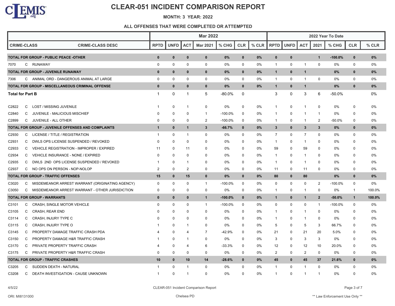

#### **MONTH: 3 YEAR: 2022**

|                                                               |              |              | 2022 Year To Date |                 |            |             |         |                |              |                |                |           |              |        |
|---------------------------------------------------------------|--------------|--------------|-------------------|-----------------|------------|-------------|---------|----------------|--------------|----------------|----------------|-----------|--------------|--------|
| <b>CRIME-CLASS</b><br><b>CRIME-CLASS DESC</b>                 | <b>RPTD</b>  | <b>UNFD</b>  | <b>ACT</b>        | <b>Mar 2021</b> | % CHG      | <b>CLR</b>  | $%$ CLR | <b>RPTD</b>    | UNFD         | <b>ACT</b>     | 2021           | % CHG     | <b>CLR</b>   | % CLR  |
| TOTAL FOR GROUP - PUBLIC PEACE -OTHER                         | $\mathbf 0$  | $\bf{0}$     | $\mathbf{0}$      | $\bf{0}$        | 0%         | $\mathbf 0$ | 0%      | $\mathbf{0}$   | $\mathbf 0$  |                | $\mathbf{1}$   | $-100.0%$ | $\mathbf 0$  | $0\%$  |
| C RUNAWAY<br>7070                                             | 0            | 0            | 0                 | 0               | 0%         | 0           | 0%      | $\mathbf{1}$   | 0            | 1              | 0              | 0%        | 0            | 0%     |
| TOTAL FOR GROUP - JUVENILE RUNAWAY                            | $\bf{0}$     | $\bf{0}$     | $\bf{0}$          | $\mathbf{0}$    | 0%         | $\mathbf 0$ | $0\%$   | $\mathbf{1}$   | $\bf{0}$     | $\mathbf{1}$   |                | $0\%$     | $\bf{0}$     | $0\%$  |
| C ANIMAL ORD - DANGEROUS ANIMAL AT LARGE<br>7306              | $\mathbf 0$  | 0            | $\mathbf 0$       | $\mathbf 0$     | 0%         | $\mathbf 0$ | 0%      | $\mathbf{1}$   | $\mathbf 0$  | 1              | $\mathbf 0$    | 0%        | $\mathbf 0$  | 0%     |
| TOTAL FOR GROUP - MISCELLANEOUS CRIMINAL OFFENSE              | $\mathbf{0}$ | $\bf{0}$     | $\bf{0}$          | $\mathbf{0}$    | 0%         | $\bf{0}$    | 0%      | $\mathbf{1}$   | $\mathbf{0}$ | $\mathbf{1}$   |                | 0%        | $\mathbf{0}$ | 0%     |
| <b>Total for Part B</b>                                       | $\mathbf{1}$ | 0            | -1                | $\mathbf 5$     | $-80.0%$   | 0           |         | 3              | $\pmb{0}$    | 3              | $\,6\,$        | $-50.0\%$ |              | 0%     |
| LOST / MISSING JUVENILE<br>C2822<br>C                         | $\mathbf 1$  | 0            | -1                | $\mathbf 0$     | 0%         | $\mathbf 0$ | 0%      | $\mathbf{1}$   | 0            | 1              | $\mathbf 0$    | 0%        | 0            | 0%     |
| C<br>JUVENILE - MALICIOUS MISCHIEF<br>C2840                   | 0            | $\Omega$     | 0                 | $\overline{1}$  | -100.0%    | 0           | 0%      | -1             | 0            | 1              | $\overline{1}$ | 0%        | $\Omega$     | 0%     |
| C2899<br>C<br>JUVENILE - ALL OTHER                            | 0            | 0            | $\Omega$          | $\overline{2}$  | $-100.0%$  | 0           | 0%      | $\mathbf{1}$   | 0            | 1              | $\overline{2}$ | -50.0%    | 0            | 0%     |
| <b>TOTAL FOR GROUP - JUVENILE OFFENSES AND COMPLAINTS</b>     | $\mathbf{1}$ | $\mathbf{0}$ | -1                | $\mathbf{3}$    | $-66.7%$   | $\mathbf 0$ | $0\%$   | $\mathbf{3}$   | $\mathbf 0$  | $\mathbf{3}$   | $\mathbf{3}$   | $0\%$     | $\mathbf{0}$ | 0%     |
| C2930<br>C<br>LICENSE / TITLE / REGISTRATION                  | $\mathbf{1}$ | $\Omega$     | -1                | $\mathbf 0$     | 0%         | $\mathbf 0$ | 0%      | $\overline{7}$ | 0            | $\overline{7}$ | 0              | 0%        | 0            | 0%     |
| DWLS OPS LICENSE SUSPENDED / REVOKED<br>C2931<br>C            | 0            | 0            | $\mathbf 0$       | $\Omega$        | 0%         | 0           | 0%      | $\mathbf{1}$   | 0            | 1              | $\mathbf 0$    | 0%        | 0            | 0%     |
| C2933<br>C<br>VEHICLE REGISTRATION - IMPROPER / EXPIRED       | 11           | 0            | 11                | $\Omega$        | 0%         | $\mathbf 0$ | 0%      | 59             | 0            | 59             | $\Omega$       | 0%        | $\Omega$     | 0%     |
| C2934<br>C<br>VEHICLE INSURANCE - NONE / EXPIRED              | $\Omega$     | $\Omega$     | $\Omega$          | $\Omega$        | $0\%$      | $\mathbf 0$ | 0%      | $\mathbf 1$    | $\Omega$     | 1              | $\Omega$       | 0%        | $\Omega$     | 0%     |
| C2935<br>DWLS 2ND OPS LICENSE SUSPENDED / REVOKED<br>C        | -1           | 0            | -1                | $\Omega$        | 0%         | $\mathbf 0$ | 0%      | $\mathbf{1}$   | 0            | 1              | 0              | 0%        | $\Omega$     | 0%     |
| C2937<br>C<br>NO OPS ON PERSON - NOP-NOLOP                    | 2            | 0            | $\overline{2}$    | $\mathbf 0$     | 0%         | $\mathbf 0$ | 0%      | 11             | $\mathbf 0$  | 11             | $\mathbf 0$    | 0%        | $\mathbf 0$  | 0%     |
| <b>TOTAL FOR GROUP - TRAFFIC OFFENSES</b>                     | 15           | $\bf{0}$     | 15                | $\mathbf 0$     | 0%         | $\bf{0}$    | 0%      | 80             | $\mathbf 0$  | 80             |                | 0%        | $\mathbf{0}$ | 0%     |
| C3020<br>MISDEMEANOR ARREST WARRANT (ORIGINATING AGENCY)<br>C | 0            | 0            | 0                 | $\overline{1}$  | $-100.0\%$ | $\mathbf 0$ | 0%      | 0              | $\mathbf 0$  | 0              | $\overline{2}$ | $-100.0%$ | 0            | 0%     |
| C3050<br>C<br>MISDEMEANOR ARREST WARRANT - OTHER JURISDICTION | 0            | $\mathbf 0$  | 0                 | 0               | 0%         | $\mathbf 0$ | 0%      | $\mathbf{1}$   | $\mathbf 0$  | $\mathbf 1$    | $\mathbf 0$    | 0%        | $\mathbf{1}$ | 100.0% |
| <b>TOTAL FOR GROUP - WARRANTS</b>                             | $\mathbf{0}$ | $\bf{0}$     | $\bf{0}$          | $\mathbf{1}$    | $-100.0\%$ | $\mathbf 0$ | $0\%$   | $\mathbf{1}$   | $\mathbf 0$  | $\mathbf 1$    | $\mathbf{2}$   | $-50.0%$  | $\mathbf{1}$ | 100.0% |
| CRASH, SINGLE MOTOR VEHICLE<br>C3101<br>C                     | 0            | 0            | 0                 | $\mathbf{1}$    | -100.0%    | 0           | 0%      | 0              | 0            | 0              | $\mathbf{1}$   | $-100.0%$ | 0            | 0%     |
| C<br><b>CRASH, REAR END</b><br>C3105                          | 0            | 0            | 0                 | 0               | 0%         | $\mathbf 0$ | 0%      | $\mathbf{1}$   | 0            | 1              | 0              | 0%        | $\Omega$     | 0%     |
| C<br>CRASH, INJURY TYPE C<br>C3114                            | 0            | 0            | $\Omega$          | $\mathbf 0$     | 0%         | 0           | 0%      | -1             | 0            | 1              | 0              | 0%        | 0            | 0%     |
| C<br>CRASH, INJURY TYPE O<br>C3115                            |              | 0            | -1                | 0               | 0%         | 0           | 0%      | 5              | 0            | 5              | 3              | 66.7%     | $\Omega$     | 0%     |
| PROPERTY DAMAGE TRAFFIC CRASH PDA<br>C3145<br>C               | 4            | 0            | 4                 | $\overline{7}$  | -42.9%     | 0           | 0%      | 21             | 0            | 21             | 20             | 5.0%      | $\Omega$     | 0%     |
| C3150<br>PROPERTY DAMAGE H&R TRAFFIC CRASH<br>C               | 1            | 0            | -1                | 0               | 0%         | 0           | 0%      | 3              | 0            | 3              | 3              | 0%        | 0            | 0%     |
| C3170<br>PRIVATE PROPERTY TRAFFIC CRASH<br>C                  | 4            | 0            | 4                 | 6               | -33.3%     | 0           | 0%      | 12             | 0            | 12             | 10             | 20.0%     | 0            | 0%     |
| C3175<br>C<br>PRIVATE PROPERTY H&R TRAFFIC CRASH              | 0            | 0            | 0                 | 0               | 0%         | 0           | 0%      | 2              | 0            | $\overline{2}$ | 0              | 0%        | 0            | 0%     |
| <b>TOTAL FOR GROUP - TRAFFIC CRASHES</b>                      | 10           | $\bf{0}$     | 10                | 14              | $-28.6%$   | $\mathbf 0$ | $0\%$   | 45             | $\mathbf{0}$ | 45             | 37             | 21.6%     | $\mathbf 0$  | 0%     |
| C3205<br>SUDDEN DEATH - NATURAL<br>C                          | 1            | 0            | -1                | $\mathbf 0$     | $0\%$      | $\mathbf 0$ | 0%      | $\mathbf{1}$   | $\mathbf 0$  | 1              | $\mathbf 0$    | 0%        | $\Omega$     | 0%     |
| C3208<br>$\mathsf{C}$<br>DEATH INVESTIGATION - CAUSE UNKNOWN  | $\mathbf{1}$ | $\Omega$     | -1                | $\Omega$        | 0%         | $\Omega$    | 0%      | $\mathbf{1}$   | $\Omega$     | $\mathbf 1$    | -1             | 0%        | $\Omega$     | 0%     |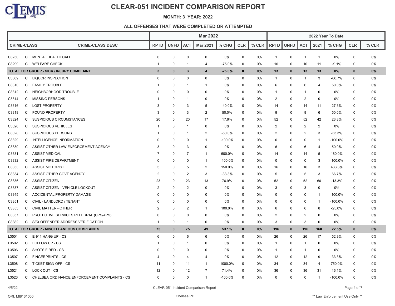

#### **MONTH: 3 YEAR: 2022**

|                    |   |                                                  | <b>Mar 2022</b> |             |                |                 |            |              |       | 2022 Year To Date |             |                |                         |           |              |       |
|--------------------|---|--------------------------------------------------|-----------------|-------------|----------------|-----------------|------------|--------------|-------|-------------------|-------------|----------------|-------------------------|-----------|--------------|-------|
| <b>CRIME-CLASS</b> |   | <b>CRIME-CLASS DESC</b>                          | <b>RPTD</b>     | <b>UNFD</b> | <b>ACT</b>     | <b>Mar 2021</b> | % CHG      | <b>CLR</b>   | % CLR | <b>RPTD</b>       | <b>UNFD</b> | <b>ACT</b>     | 2021                    | % CHG     | <b>CLR</b>   | % CLR |
| C3250              | C | MENTAL HEALTH CALL                               | 0               | 0           | $\mathbf 0$    | 0               | 0%         | 0            | 0%    | $\mathbf{1}$      | 0           | $\overline{1}$ | $\mathbf{1}$            | 0%        | 0            | 0%    |
| C3299              | C | <b>WELFARE CHECK</b>                             | -1              | $\Omega$    | -1             | 4               | $-75.0%$   | $\mathbf 0$  | 0%    | 10                | $\mathbf 0$ | 10             | 11                      | $-9.1%$   | $\mathbf 0$  | 0%    |
|                    |   | <b>TOTAL FOR GROUP - SICK / INJURY COMPLAINT</b> | 3               | $\mathbf 0$ | $\mathbf{3}$   | $\overline{4}$  | $-25.0%$   | $\mathbf{0}$ | 0%    | 13                | $\mathbf 0$ | 13             | 13                      | 0%        | $\mathbf{0}$ | 0%    |
| C3309              | C | LIQUOR INSPECTION                                | $\Omega$        | 0           | $\mathbf 0$    | 0               | 0%         | 0            | 0%    | $\mathbf{1}$      | 0           | $\mathbf{1}$   | 3                       | $-66.7%$  | 0            | 0%    |
| C3310              | C | <b>FAMILY TROUBLE</b>                            | $\mathbf 1$     | $\Omega$    | -1             | $\mathbf{1}$    | 0%         | 0            | 0%    | 6                 | 0           | 6              | $\overline{\mathbf{4}}$ | 50.0%     | $\Omega$     | 0%    |
| C3312              | C | NEIGHBORHOOD TROUBLE                             | $\Omega$        | $\Omega$    | 0              | $\pmb{0}$       | 0%         | $\Omega$     | 0%    | -1                | 0           | -1             | 0                       | 0%        | $\Omega$     | 0%    |
| C3314              | C | <b>MISSING PERSONS</b>                           |                 | $\Omega$    | 1              | $\mathbf 0$     | 0%         | $\Omega$     | 0%    | $\overline{2}$    | 0           | $\overline{2}$ | $\mathbf 0$             | $0\%$     | $\Omega$     | 0%    |
| C3316              | C | <b>LOST PROPERTY</b>                             | 3               | 0           | 3              | 5               | $-40.0%$   | 0            | 0%    | 14                | 0           | 14             | 11                      | 27.3%     | $\Omega$     | 0%    |
| C3318              | C | <b>FOUND PROPERTY</b>                            | 3               | 0           | 3              | $\overline{2}$  | 50.0%      | 0            | 0%    | 9                 | 0           | 9              | 6                       | 50.0%     | $\Omega$     | 0%    |
| C3324              | C | <b>SUSPICIOUS CIRCUMSTANCES</b>                  | 20              | 0           | 20             | 17              | 17.6%      | 0            | 0%    | 52                | 0           | 52             | 42                      | 23.8%     | $\Omega$     | 0%    |
| C3326              | C | <b>SUSPICIOUS VEHICLES</b>                       | -1              | 0           | $\mathbf 1$    | $\mathbf 0$     | 0%         | $\Omega$     | 0%    | $\overline{2}$    | 0           | $\overline{2}$ | $\overline{2}$          | 0%        | $\Omega$     | 0%    |
| C3328              | C | SUSPICIOUS PERSONS                               | $\mathbf 1$     | $\Omega$    | $\mathbf{1}$   | $\overline{2}$  | $-50.0%$   | 0            | 0%    | $\overline{c}$    | 0           | $\overline{2}$ | 3                       | -33.3%    | 0            | 0%    |
| C3329              | C | INTELLIGENCE INFORMATION                         | $\Omega$        | $\Omega$    | 0              | $\mathbf{1}$    | $-100.0\%$ | 0            | 0%    | 0                 | 0           | 0              | -1                      | $-100.0%$ | $\Omega$     | 0%    |
| C3330              | C | ASSIST OTHER LAW ENFORCEMENT AGENCY              | 3               | $\Omega$    | 3              | $\mathbf 0$     | 0%         | $\Omega$     | $0\%$ | 6                 | 0           | 6              | 4                       | 50.0%     | $\Omega$     | 0%    |
| C3331              | C | <b>ASSIST MEDICAL</b>                            | 7               | $\Omega$    | 7              | -1              | 600.0%     | $\Omega$     | 0%    | 14                | 0           | 14             | 5                       | 180.0%    | $\Omega$     | 0%    |
| C3332              | C | <b>ASSIST FIRE DEPARTMENT</b>                    | $\Omega$        | $\Omega$    | $\mathbf 0$    | $\mathbf{1}$    | $-100.0%$  | 0            | 0%    | $\mathbf 0$       | 0           | $\mathbf 0$    | 3                       | $-100.0%$ | 0            | 0%    |
| C3333              | C | <b>ASSIST MOTORIST</b>                           | 5               | $\Omega$    | 5              | $\overline{2}$  | 150.0%     | 0            | 0%    | 16                | 0           | 16             | 3                       | 433.3%    | 0            | 0%    |
| C3334              | C | ASSIST OTHER GOVT AGENCY                         | $\overline{2}$  | $\Omega$    | $\overline{2}$ | 3               | $-33.3%$   | $\Omega$     | 0%    | 5                 | 0           | 5              | 3                       | 66.7%     | 0            | 0%    |
| C3336              | C | <b>ASSIST CITIZEN</b>                            | 23              | $\Omega$    | 23             | 13              | 76.9%      | 0            | 0%    | 52                | 0           | 52             | 60                      | -13.3%    | $\Omega$     | 0%    |
| C3337              | C | ASSIST CITIZEN - VEHICLE LOCKOUT                 | 2               | $\Omega$    | 2              | 0               | 0%         | 0            | 0%    | 3                 | 0           | 3              | 0                       | 0%        | $\Omega$     | 0%    |
| C3345              | C | ACCIDENTAL PROPERTY DAMAGE                       | $\Omega$        | $\Omega$    | 0              | 0               | 0%         | $\Omega$     | 0%    | 0                 | 0           | $\mathbf 0$    | $\mathbf{1}$            | $-100.0%$ | $\Omega$     | 0%    |
| C3351              | C | CIVIL - LANDLORD / TENANT                        | $\Omega$        | $\Omega$    | $\mathbf 0$    | 0               | 0%         | $\Omega$     | 0%    | 0                 | 0           | $\mathbf 0$    | -1                      | $-100.0%$ | 0            | 0%    |
| C3355              | C | CIVIL MATTER - OTHER                             | $\overline{2}$  | $\Omega$    | $\overline{2}$ | -1              | 100.0%     | $\Omega$     | 0%    | 6                 | 0           | 6              | 8                       | -25.0%    | $\Omega$     | $0\%$ |
| C3357              | С | PROTECTIVE SERVICES REFERRAL (CPS/APS)           | $\Omega$        | $\mathbf 0$ | $\mathbf 0$    | 0               | 0%         | 0            | 0%    | $\overline{2}$    | 0           | $\overline{2}$ | $\mathbf 0$             | 0%        | 0            | 0%    |
| C3382              | C | SEX OFFENDER ADDRESS VERIFICATION                | -1              | 0           | $\mathbf{1}$   | $\mathbf 0$     | 0%         | 0            | 0%    | 3                 | 0           | 3              | $\mathbf 0$             | 0%        | 0            | 0%    |
|                    |   | TOTAL FOR GROUP - MISCELLANEOUS COMPLAINTS       | 75              | $\mathbf 0$ | 75             | 49              | 53.1%      | $\bf{0}$     | 0%    | 196               | $\mathbf 0$ | 196            | 160                     | 22.5%     | $\mathbf{0}$ | 0%    |
| L3501              | C | E-911 HANG UP - CS                               | 6               | $\Omega$    | 6              | 6               | 0%         | $\Omega$     | 0%    | 26                | 0           | 26             | 17                      | 52.9%     | $\Omega$     | 0%    |
| L3502              | C | <b>FOLLOW UP - CS</b>                            | -1              | $\Omega$    | -1             | $\Omega$        | 0%         | 0            | 0%    | $\mathbf{1}$      | 0           | $\mathbf{1}$   | 0                       | 0%        | 0            | 0%    |
| L3506              | C | SHOTS FIRED - CS                                 | $\Omega$        | $\Omega$    | $\mathbf 0$    | $\mathbf 0$     | 0%         | $\Omega$     | 0%    | $\mathbf{1}$      | 0           | $\mathbf{1}$   | 0                       | 0%        | $\Omega$     | 0%    |
| L3507              | C | <b>FINGERPRINTS - CS</b>                         | 4               | $\Omega$    | 4              | 4               | 0%         | $\Omega$     | 0%    | 12                | 0           | 12             | 9                       | 33.3%     | 0            | 0%    |
| L3508              | C | <b>TICKET SIGN OFF - CS</b>                      | 11              | $\Omega$    | 11             | -1              | 1000.0%    | $\Omega$     | 0%    | 34                | 0           | 34             | 4                       | 750.0%    | $\Omega$     | 0%    |
| L3521              | С | LOCK OUT - CS                                    | 12              | $\Omega$    | 12             | $\overline{7}$  | 71.4%      | $\Omega$     | 0%    | 36                | 0           | 36             | 31                      | 16.1%     | n            | 0%    |
| L3523              | C | CHELSEA ORDINANCE ENFORCEMENT COMPLAINTS - CS    | $\Omega$        | $\Omega$    | $\Omega$       | 1               | $-100.0%$  | $\Omega$     | 0%    | $\Omega$          | $\Omega$    | $\mathbf 0$    | $\mathbf 1$             | $-100.0%$ | $\Omega$     | 0%    |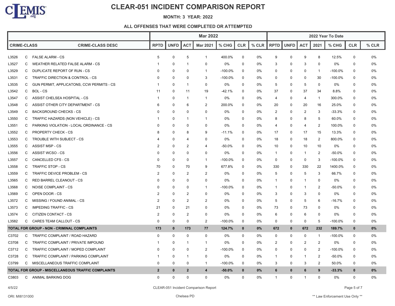

#### **MONTH: 3 YEAR: 2022**

|                    |   |                                                    | <b>Mar 2022</b> |             |                |                  |            |             |       | 2022 Year To Date |             |                |                |            |              |         |
|--------------------|---|----------------------------------------------------|-----------------|-------------|----------------|------------------|------------|-------------|-------|-------------------|-------------|----------------|----------------|------------|--------------|---------|
| <b>CRIME-CLASS</b> |   | <b>CRIME-CLASS DESC</b>                            | <b>RPTD</b>     | <b>UNFD</b> | <b>ACT</b>     | <b>Mar 2021</b>  | $%$ CHG    | <b>CLR</b>  | % CLR | <b>RPTD</b>       | <b>UNFD</b> | <b>ACT</b>     | 2021           | $%$ CHG    | <b>CLR</b>   | $%$ CLR |
| L3526              | C | <b>FALSE ALARM - CS</b>                            | 5               | $\Omega$    | 5              | $\mathbf{1}$     | 400.0%     | 0           | 0%    | 9                 | $\Omega$    | 9              | 8              | 12.5%      | 0            | 0%      |
| L3527              | C | WEATHER RELATED FALSE ALARM - CS                   |                 | $\Omega$    | -1             | $\Omega$         | 0%         | $\mathbf 0$ | 0%    | 3                 | 0           | 3              | 0              | 0%         | 0            | 0%      |
| L3529              | C | DUPLICATE REPORT OF RUN - CS                       | $\Omega$        | $\Omega$    | 0              | -1               | $-100.0\%$ | 0           | 0%    | 0                 | 0           | 0              | $\mathbf 1$    | $-100.0\%$ | 0            | 0%      |
| L3531              | C | TRAFFIC DIRECTION & CONTROL - CS                   | $\Omega$        | $\Omega$    | $\Omega$       | 3                | $-100.0\%$ | 0           | $0\%$ | $\Omega$          | $\Omega$    | $\Omega$       | 30             | $-100.0%$  | 0            | 0%      |
| L3535              | C | GUN PERMIT, APPLICATONS, CCW PERMITS - CS          | -1              | $\Omega$    | -1             | 0                | 0%         | $\mathbf 0$ | 0%    | 5                 | $\Omega$    | 5              | 0              | 0%         | 0            | 0%      |
| L3542              | C | <b>BOL-CS</b>                                      | 11              | $\Omega$    | 11             | 19               | $-42.1%$   | 0           | $0\%$ | 37                | $\Omega$    | 37             | 34             | 8.8%       | 0            | 0%      |
| L3547              | C | ASSIST CHELSEA HOSPITAL - CS                       |                 | $\Omega$    | $\overline{1}$ | $\mathbf{1}$     | 0%         | $\mathbf 0$ | 0%    | 4                 | $\Omega$    | 4              | $\mathbf{1}$   | 300.0%     | $\mathbf 0$  | 0%      |
| L3548              | C | ASSIST OTHER CITY DEPARTMENT - CS                  | 6               | 0           | 6              | $\overline{2}$   | 200.0%     | 0           | 0%    | 20                | 0           | 20             | 16             | 25.0%      | 0            | 0%      |
| L3549              | C | <b>BACKGROUND CHECKS - CS</b>                      | $\Omega$        | $\Omega$    | $\Omega$       | $\Omega$         | 0%         | $\mathbf 0$ | 0%    | $\overline{2}$    | $\Omega$    | $\overline{2}$ | 3              | $-33.3%$   | 0            | 0%      |
| L3550              | C | TRAFFIC HAZARDS (NON VEHICLE) - CS                 |                 | $\Omega$    | -1             |                  | 0%         | $\mathbf 0$ | 0%    | 8                 | $\Omega$    | 8              | 5              | 60.0%      | $\mathbf 0$  | 0%      |
| L3551              | C | PARKING VIOLATION - LOCAL ORDINANCE - CS           | <sup>0</sup>    | 0           | $\mathbf 0$    | 0                | 0%         | $\mathbf 0$ | 0%    | 4                 | $\Omega$    | 4              | $\overline{2}$ | 100.0%     | 0            | 0%      |
| L3552              | C | <b>PROPERTY CHECK - CS</b>                         | 8               | $\Omega$    | 8              | 9                | $-11.1%$   | 0           | 0%    | 17                | $\Omega$    | 17             | 15             | 13.3%      | 0            | 0%      |
| L3553              | C | TROUBLE WITH SUBJECT - CS                          |                 | $\Omega$    | $\overline{4}$ | $\Omega$         | 0%         | 0           | 0%    | 18                | 0           | 18             | 2              | 800.0%     | 0            | 0%      |
| L3555              | C | <b>ASSIST MSP - CS</b>                             | $\mathcal{P}$   | $\Omega$    | $\overline{2}$ | 4                | $-50.0%$   | 0           | 0%    | 10                | 0           | 10             | 10             | 0%         | $\mathbf 0$  | 0%      |
| L3556              | C | ASSIST WCSO - CS                                   | 0               | 0           | $\Omega$       | 0                | 0%         | 0           | 0%    | -1                | 0           | -1             | $\overline{2}$ | $-50.0\%$  | 0            | 0%      |
| L3557              | C | <b>CANCELLED CFS - CS</b>                          | $\Omega$        | $\Omega$    | $\mathbf 0$    | $\mathbf{1}$     | $-100.0\%$ | 0           | 0%    | 0                 | 0           | 0              | 3              | $-100.0\%$ | 0            | 0%      |
| L3558              | C | <b>TRAFFIC STOP - CS</b>                           | 70              | 0           | 70             | 9                | 677.8%     | $\mathbf 0$ | 0%    | 330               | 0           | 330            | 22             | 1400.0%    | $\mathbf 0$  | 0%      |
| L3559              | C | TRAFFIC DEVICE PROBLEM - CS                        | $\overline{2}$  | $\Omega$    | $\overline{2}$ | $\overline{2}$   | 0%         | $\mathbf 0$ | $0\%$ | 5                 | 0           | 5              | 3              | 66.7%      | 0            | 0%      |
| L3565              | C | <b>RED BARREL CLEANOUT - CS</b>                    | $\Omega$        | $\Omega$    | $\Omega$       | $\Omega$         | 0%         | $\mathbf 0$ | 0%    | -1                | $\Omega$    | -1             | 0              | 0%         | 0            | 0%      |
| L3568              | C | NOISE COMPLAINT - CS                               | $\Omega$        | $\Omega$    | $\mathbf 0$    | $\mathbf{1}$     | $-100.0%$  | 0           | 0%    | -1                | $\Omega$    | -1             | 2              | $-50.0%$   | 0            | 0%      |
| L3569              | C | OPEN DOOR - CS                                     | $\overline{2}$  | $\Omega$    | $\overline{2}$ | $\Omega$         | 0%         | $\mathbf 0$ | 0%    | 3                 | $\Omega$    | 3              | $\mathbf 0$    | 0%         | $\mathbf 0$  | 0%      |
| L3572              | C | MISSING / FOUND ANIMAL - CS                        | $\overline{2}$  | 0           | $\overline{2}$ | $\overline{2}$   | 0%         | 0           | 0%    | 5                 | 0           | 5              | 6              | $-16.7%$   | 0            | 0%      |
| L3573              | C | <b>IMPEDING TRAFFIC - CS</b>                       | 21              | $\Omega$    | 21             | $\Omega$         | 0%         | 0           | 0%    | 73                | $\Omega$    | 73             | 0              | 0%         | 0            | 0%      |
| L3574              | C | CITIZEN CONTACT - CS                               | $\overline{2}$  | 0           | $\overline{2}$ | 0                | 0%         | $\mathbf 0$ | 0%    | 6                 | $\mathbf 0$ | 6              | 0              | 0%         | $\mathbf 0$  | 0%      |
| L3582              | C | CARES TEAM CALLOUT - CS                            | $\mathbf 0$     | 0           | $\mathbf 0$    | 2                | $-100.0\%$ | $\mathbf 0$ | 0%    | 0                 | 0           | 0              | 5              | $-100.0%$  | $\mathbf 0$  | 0%      |
|                    |   | TOTAL FOR GROUP - NON - CRIMINAL COMPLAINTS        | 173             | $\mathbf 0$ | 173            | 77               | 124.7%     | $\bf{0}$    | $0\%$ | 672               | $\mathbf 0$ | 672            | 232            | 189.7%     | $\mathbf 0$  | 0%      |
| C3702              | C | TRAFFIC COMPLAINT / ROAD HAZARD                    | $\Omega$        | $\Omega$    | $\mathbf 0$    | 0                | 0%         | 0           | 0%    | 0                 | $\Omega$    | $\Omega$       | $\mathbf{1}$   | -100.0%    | 0            | 0%      |
| C3708              | C | TRAFFIC COMPLAINT / PRIVATE IMPOUND                | -1              | $\mathbf 0$ | -1             | -1               | 0%         | $\mathbf 0$ | 0%    | $\overline{2}$    | 0           | $\overline{2}$ | $\overline{2}$ | 0%         | $\mathbf 0$  | 0%      |
| C3712              | C | TRAFFIC COMPLAINT / MOPED COMPLAINT                | $\Omega$        | $\Omega$    | 0              | $\overline{2}$   | $-100.0\%$ | $\mathbf 0$ | 0%    | $\Omega$          | 0           | $\Omega$       | 2              | $-100.0%$  | 0            | 0%      |
| C3728              | C | TRAFFIC COMPLAINT / PARKING COMPLAINT              | 1               | $\Omega$    | -1             | 0                | 0%         | $\mathbf 0$ | 0%    | -1                | 0           | -1             | $\overline{2}$ | $-50.0%$   | 0            | 0%      |
| C3799              | C | MISCELLANEOUS TRAFFIC COMPLAINT                    | 0               | 0           | 0              | -1               | $-100.0\%$ | 0           | 0%    | 3                 | $\Omega$    | 3              | 2              | 50.0%      | 0            | 0%      |
|                    |   | TOTAL FOR GROUP - MISCELLANEOUS TRAFFIC COMPLAINTS | $\overline{2}$  | $\bf{0}$    | $\overline{2}$ | $\boldsymbol{4}$ | $-50.0%$   | $\bf{0}$    | $0\%$ | 6                 | $\bf{0}$    | 6              | 9              | $-33.3%$   | $\mathbf 0$  | 0%      |
| C3803              | C | ANIMAL BARKING DOG                                 | $\Omega$        | $\Omega$    | $\Omega$       | $\Omega$         | 0%         | $\Omega$    | 0%    | $\overline{1}$    | $\Omega$    | -1             | $\Omega$       | 0%         | $\mathbf{0}$ | 0%      |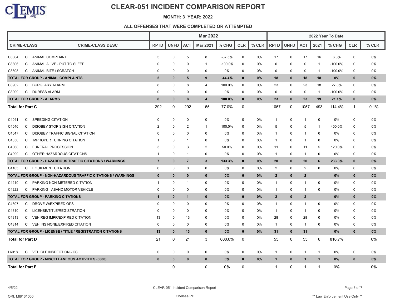

#### **MONTH: 3 YEAR: 2022**

|                                                                   |                                                                     | <b>Mar 2022</b> |              |                |                         |           |              |       |                | 2022 Year To Date |                |              |            |              |       |  |  |
|-------------------------------------------------------------------|---------------------------------------------------------------------|-----------------|--------------|----------------|-------------------------|-----------|--------------|-------|----------------|-------------------|----------------|--------------|------------|--------------|-------|--|--|
| <b>CRIME-CLASS</b>                                                | <b>CRIME-CLASS DESC</b>                                             | <b>RPTD</b>     | <b>UNFD</b>  | <b>ACT</b>     | <b>Mar 2021</b>         | $%$ CHG   | <b>CLR</b>   | % CLR | <b>RPTD</b>    | UNFD              | <b>ACT</b>     | 2021         | % CHG      | <b>CLR</b>   | % CLR |  |  |
| C3804<br>C<br>ANIMAL COMPLAINT                                    |                                                                     | 5               | $\mathbf 0$  | 5              | 8                       | $-37.5%$  | 0            | 0%    | 17             | 0                 | 17             | 16           | 6.3%       | 0            | 0%    |  |  |
| ANIMAL ALIVE - PUT TO SLEEP<br>C3806<br>C                         |                                                                     | $\Omega$        | 0            | $\Omega$       | -1                      | $-100.0%$ | 0            | 0%    | 0              | 0                 | $\mathbf 0$    | -1           | $-100.0%$  | $\Omega$     | $0\%$ |  |  |
| C3808<br>ANIMAL BITE / SCRATCH<br>C                               |                                                                     | 0               | $\mathbf 0$  | $\Omega$       | 0                       | 0%        | 0            | 0%    | 0              | 0                 | $\mathbf 0$    | $\mathbf{1}$ | $-100.0\%$ | 0            | 0%    |  |  |
| TOTAL FOR GROUP - ANIMAL COMPLAINTS                               |                                                                     | 5               | $\mathbf 0$  | 5              | 9                       | $-44.4%$  | $\mathbf 0$  | $0\%$ | 18             | $\mathbf 0$       | 18             | 18           | 0%         | $\bf{0}$     | $0\%$ |  |  |
| C3902<br>C<br><b>BURGLARY ALARM</b>                               |                                                                     | 8               | $\mathbf 0$  | 8              | 4                       | 100.0%    | 0            | 0%    | 23             | $\mathbf 0$       | 23             | 18           | 27.8%      | 0            | 0%    |  |  |
| C DURESS ALARM<br>C3909                                           |                                                                     | 0               | 0            | $\Omega$       | $\mathbf 0$             | 0%        | 0            | 0%    | 0              | 0                 | 0              | $\mathbf{1}$ | $-100.0\%$ | 0            | 0%    |  |  |
| <b>TOTAL FOR GROUP - ALARMS</b>                                   |                                                                     | 8               | $\mathbf 0$  | 8              | $\overline{\mathbf{4}}$ | 100.0%    | $\bf{0}$     | 0%    | 23             | $\mathbf 0$       | 23             | 19           | 21.1%      | $\bf{0}$     | $0\%$ |  |  |
| <b>Total for Part C</b>                                           |                                                                     | 292             | $\mathbf 0$  | 292            | 165                     | 77.0%     | 0            |       | 1057           | $\mathbf 0$       | 1057           | 493          | 114.4%     | -1           | 0.1%  |  |  |
| SPEEDING CITATION<br>C4041<br>C                                   |                                                                     | 0               | $\mathbf 0$  | 0              | $\mathbf 0$             | 0%        | 0            | 0%    | $\mathbf{1}$   | $\mathbf 0$       | $\overline{1}$ | 0            | 0%         | 0            | 0%    |  |  |
| C4046<br>C<br>DISOBEY STOP SIGN CITATION                          |                                                                     | $\overline{2}$  | $\mathbf 0$  | $\overline{2}$ | $\mathbf{1}$            | 100.0%    | 0            | 0%    | 5              | $\mathbf 0$       | 5              | $\mathbf{1}$ | 400.0%     | $\Omega$     | 0%    |  |  |
| C4047<br>C<br>DISOBEY TRAFFIC SIGNAL CITATION                     |                                                                     | $\Omega$        | $\mathbf 0$  | $\Omega$       | $\mathbf 0$             | 0%        | 0            | 0%    | $\mathbf{1}$   | 0                 | $\overline{1}$ | 0            | 0%         | $\Omega$     | 0%    |  |  |
| C4050<br>C<br><b>IMPROPER TURNING CITATION</b>                    |                                                                     | -1              | 0            | $\overline{1}$ | 0                       | 0%        | 0            | 0%    | $\mathbf{1}$   | 0                 | $\overline{1}$ | 0            | 0%         | 0            | 0%    |  |  |
| <b>FUNERAL PROCESSION</b><br>C4068<br>C                           |                                                                     | 3               | $\Omega$     | 3              | $\overline{2}$          | 50.0%     | 0            | 0%    | 11             | $\mathbf 0$       | 11             | 5            | 120.0%     | $\Omega$     | 0%    |  |  |
| C OTHER HAZARDOUS CITATIONS<br>C4099                              |                                                                     | $\mathbf{1}$    | $\mathbf 0$  | $\overline{1}$ | $\mathbf 0$             | 0%        | $\mathbf 0$  | 0%    | $\mathbf{1}$   | $\mathbf 0$       | $\overline{1}$ | $\mathbf 0$  | 0%         | 0            | 0%    |  |  |
| <b>TOTAL FOR GROUP - HAZARDOUS TRAFFIC CITATIONS / WARNINGS</b>   |                                                                     | $\overline{7}$  | $\mathbf{0}$ | $\overline{7}$ | $\mathbf{3}$            | 133.3%    | $\bf{0}$     | 0%    | 20             | $\mathbf 0$       | 20             | 6            | 233.3%     | $\bf{0}$     | $0\%$ |  |  |
| <b>EQUIPMENT CITATION</b><br>C4105<br>C                           |                                                                     | $\mathbf 0$     | $\mathbf 0$  | $\mathbf 0$    | $\mathbf 0$             | 0%        | $\mathbf 0$  | 0%    | $\overline{2}$ | 0                 | $\overline{2}$ | $\mathbf 0$  | 0%         | $\mathbf 0$  | 0%    |  |  |
|                                                                   | <b>TOTAL FOR GROUP - NON-HAZARDOUS TRAFFIC CITATIONS / WARNINGS</b> | $\mathbf{0}$    | $\mathbf{0}$ | $\mathbf{0}$   | $\mathbf{0}$            | $0\%$     | $\mathbf{0}$ | 0%    | $\overline{2}$ | $\mathbf{0}$      | $\overline{2}$ |              | 0%         | $\mathbf{0}$ | 0%    |  |  |
| C4210<br>PARKING NON-METERED CITATION<br>C                        |                                                                     | $\mathbf{1}$    | $\mathbf 0$  | -1             | $\mathbf 0$             | 0%        | $\Omega$     | 0%    | $\mathbf{1}$   | 0                 | $\overline{1}$ | 0            | $0\%$      | $\Omega$     | 0%    |  |  |
| C4222<br>C<br>PARKING - ABAND MOTOR VEHICLE                       |                                                                     | 0               | $\mathbf 0$  | $\Omega$       | $\mathbf 0$             | 0%        | 0            | 0%    | $\mathbf{1}$   | 0                 | $\overline{1}$ | 0            | 0%         | 0            | 0%    |  |  |
| <b>TOTAL FOR GROUP - PARKING CITATIONS</b>                        |                                                                     | $\mathbf{1}$    | $\mathbf 0$  | $\mathbf 1$    | $\mathbf 0$             | $0\%$     | $\mathbf 0$  | 0%    | $\mathbf{2}$   | $\mathbf 0$       | $\mathbf{2}$   |              | 0%         | $\bf{0}$     | $0\%$ |  |  |
| DROVE W/EXPIRED OPS<br>C4307<br>С                                 |                                                                     | 0               | 0            | 0              | 0                       | 0%        | 0            | 0%    | $\mathbf{1}$   | 0                 | $\overline{1}$ | 0            | 0%         | 0            | 0%    |  |  |
| LICENSE/TITLE/REGISTRATION<br>C4310<br>C                          |                                                                     | $\Omega$        | $\mathbf 0$  | $\mathbf 0$    | $\mathbf 0$             | 0%        | 0            | 0%    | $\mathbf{1}$   | 0                 | $\mathbf{1}$   | 0            | 0%         | 0            | 0%    |  |  |
| VEH REG IMPR/EXPIRED CITATION<br>C4313<br>C                       |                                                                     | 13              | 0            | 13             | 0                       | 0%        | 0            | 0%    | 28             | 0                 | 28             | 0            | 0%         | 0            | 0%    |  |  |
| C4314<br>C<br>VEH INS NONE/EXPIRED CITATION                       |                                                                     | 0               | $\mathbf 0$  | 0              | 0                       | 0%        | 0            | 0%    | $\mathbf{1}$   | 0                 | $\overline{1}$ | 0            | 0%         | 0            | 0%    |  |  |
| <b>TOTAL FOR GROUP - LICENSE / TITLE / REGISTRATION CITATIONS</b> |                                                                     | 13              | $\mathbf{0}$ | 13             | $\mathbf 0$             | $0\%$     | $\mathbf{0}$ | 0%    | 31             | $\mathbf 0$       | 31             |              | 0%         | $\mathbf{0}$ | $0\%$ |  |  |
| <b>Total for Part D</b>                                           |                                                                     | 21              | $\mathbf 0$  | 21             | 3                       | 600.0%    | 0            |       | 55             | 0                 | 55             | 6            | 816.7%     |              | 0%    |  |  |
| <b>VEHICLE INSPECTION - CS</b><br>$\mathsf{C}$<br>L6018           |                                                                     | 0               | 0            | 0              | $\mathbf 0$             | 0%        | 0            | 0%    | $\mathbf{1}$   | $\mathbf 0$       | $\overline{1}$ | $\mathbf{1}$ | 0%         | 0            | 0%    |  |  |
| TOTAL FOR GROUP - MISCELLANEOUS ACTIVITIES (6000)                 |                                                                     | $\bf{0}$        | $\mathbf{0}$ | $\mathbf 0$    | $\bf{0}$                | $0\%$     | $\bf{0}$     | 0%    | $\mathbf{1}$   | $\mathbf 0$       | $\mathbf{1}$   | $\mathbf{1}$ | 0%         | $\bf{0}$     | $0\%$ |  |  |
| <b>Total for Part F</b>                                           |                                                                     |                 | $\Omega$     |                | $\Omega$                | 0%        | $\Omega$     |       | $\mathbf{1}$   | $\Omega$          | -1             | $\mathbf{1}$ | 0%         |              | 0%    |  |  |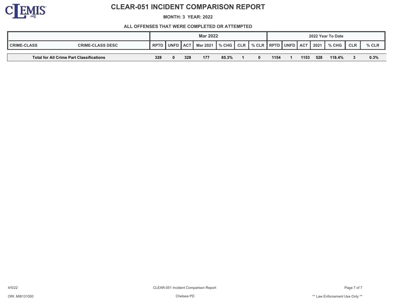

**MONTH: 3 YEAR: 2022**

|                    |                                          |             |                                                                                            |     | <b>Mar 2022</b> |       |  |  |      |      |      | 2022 Year To Date |            |         |
|--------------------|------------------------------------------|-------------|--------------------------------------------------------------------------------------------|-----|-----------------|-------|--|--|------|------|------|-------------------|------------|---------|
| <b>CRIME-CLASS</b> | <b>CRIME-CLASS DESC</b>                  | <b>RPTD</b> | CLR   % CLR   RPTD   UNFD   ACT<br>$%$ CHG $\parallel$<br>Mar 2021<br><b>UNFD</b><br>∠∥АС⊤ |     |                 |       |  |  |      |      | 2021 | $\parallel$ % CHG | <b>CLR</b> | $%$ CLR |
|                    |                                          |             |                                                                                            |     |                 |       |  |  |      |      |      |                   |            |         |
|                    | Total for All Crime Part Classifications |             |                                                                                            | 328 | 177             | 85.3% |  |  | 1154 | 1153 | 528  | 118.4%            |            | 0.3%    |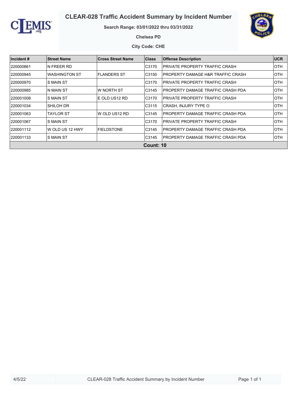



#### **Search Range: 03/01/2022 thru 03/31/2022**



**Chelsea PD**

**City Code: CHE**

| Incident # | <b>Street Name</b>   | <b>Cross Street Name</b> | <b>Class</b>     | <b>Offense Description</b>                   | <b>UCR</b> |
|------------|----------------------|--------------------------|------------------|----------------------------------------------|------------|
| 220000861  | N FREER RD           |                          | C3170            | PRIVATE PROPERTY TRAFFIC CRASH               | <b>OTH</b> |
| 220000945  | <b>WASHINGTON ST</b> | <b>FLANDERS ST</b>       | C3150            | <b>PROPERTY DAMAGE H&amp;R TRAFFIC CRASH</b> | <b>OTH</b> |
| 220000970  | <b>S MAIN ST</b>     |                          | C3170            | <b>PRIVATE PROPERTY TRAFFIC CRASH</b>        | <b>OTH</b> |
| 220000985  | N MAIN ST            | W NORTH ST               | C3145            | PROPERTY DAMAGE TRAFFIC CRASH PDA            | <b>OTH</b> |
| 220001008  | S MAIN ST            | E OLD US12 RD            | C3170            | PRIVATE PROPERTY TRAFFIC CRASH               | <b>OTH</b> |
| 220001034  | SHILOH DR            |                          | C3115            | CRASH, INJURY TYPE O                         | <b>OTH</b> |
| 220001063  | TAYLOR ST            | W OLD US12 RD            | C3145            | PROPERTY DAMAGE TRAFFIC CRASH PDA            | <b>OTH</b> |
| 220001067  | S MAIN ST            |                          | C3170            | PRIVATE PROPERTY TRAFFIC CRASH               | <b>OTH</b> |
| 220001112  | IW OLD US 12 HWY     | <b>FIELDSTONE</b>        | C3145            | PROPERTY DAMAGE TRAFFIC CRASH PDA            | <b>OTH</b> |
| 220001133  | <b>S MAIN ST</b>     |                          | C3145            | PROPERTY DAMAGE TRAFFIC CRASH PDA            | <b>OTH</b> |
|            |                      |                          | <b>Count: 10</b> |                                              |            |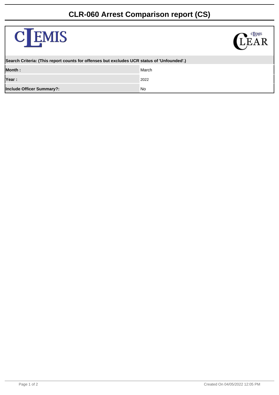# **CLR-060 Arrest Comparison report (CS)**

| <b>C</b> EMIS                                                                              | <b>CLEMIS</b> |
|--------------------------------------------------------------------------------------------|---------------|
| Search Criteria: (This report counts for offenses but excludes UCR status of 'Unfounded'.) |               |
| Month:                                                                                     | March         |
| Year:                                                                                      | 2022          |
| Include Officer Summary?:                                                                  | No            |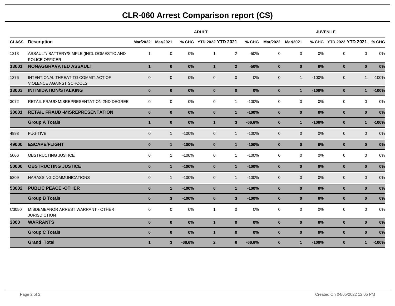# **CLR-060 Arrest Comparison report (CS)**

|              |                                                                 |                |                   |          | <b>ADULT</b>            |                         |          | <b>JUVENILE</b> |              |         |                         |                         |  |  |  |  |
|--------------|-----------------------------------------------------------------|----------------|-------------------|----------|-------------------------|-------------------------|----------|-----------------|--------------|---------|-------------------------|-------------------------|--|--|--|--|
| <b>CLASS</b> | <b>Description</b>                                              |                | Mar/2022 Mar/2021 |          | % CHG YTD 2022 YTD 2021 |                         |          | % CHG Mar/2022  | Mar/2021     |         | % CHG YTD 2022 YTD 2021 | % CHG                   |  |  |  |  |
| 1313         | ASSAULT/ BATTERY/SIMPLE (INCL DOMESTIC AND<br>POLICE OFFICER    | $\overline{1}$ | $\mathbf 0$       | 0%       | $\overline{1}$          | $\overline{2}$          | $-50%$   | $\mathbf 0$     | $\mathsf{O}$ | 0%      | $\mathbf 0$             | 0%<br>$\mathbf 0$       |  |  |  |  |
| 13001        | NONAGGRAVATED ASSAULT                                           | $\overline{1}$ | $\mathbf{0}$      | 0%       | $\overline{1}$          | 2 <sup>1</sup>          | $-50%$   | $\mathbf{0}$    | $\mathbf{0}$ | 0%      | $\bf{0}$                | 0%<br>$\mathbf{0}$      |  |  |  |  |
| 1376         | INTENTIONAL THREAT TO COMMIT ACT OF<br>VIOLENCE AGAINST SCHOOLS | $\Omega$       | $\mathbf 0$       | 0%       | $\mathbf{0}$            | $\mathbf{0}$            | 0%       | $\mathbf 0$     | $\mathbf{1}$ | $-100%$ | $\mathbf{0}$            | $-100%$<br>$\mathbf{1}$ |  |  |  |  |
| 13003        | <b>INTIMIDATION/STALKING</b>                                    | $\mathbf{0}$   | $\mathbf 0$       | 0%       | $\mathbf{0}$            | $\mathbf{0}$            | 0%       | $\bf{0}$        | $\mathbf{1}$ | $-100%$ | $\bf{0}$                | $-100%$<br>$\mathbf{1}$ |  |  |  |  |
| 3072         | RETAIL FRAUD MISREPRESENTATION 2ND DEGREE                       | $\mathbf 0$    | $\mathsf{O}$      | 0%       | $\mathbf 0$             | $\mathbf{1}$            | $-100%$  | $\mathbf 0$     | $\mathbf 0$  | 0%      | $\mathbf 0$             | $\mathbf 0$<br>0%       |  |  |  |  |
| 30001        | <b>RETAIL FRAUD -MISREPRESENTATION</b>                          | $\mathbf{0}$   | $\mathbf{0}$      | 0%       | $\mathbf{0}$            | $\mathbf{1}$            | $-100%$  | $\mathbf{0}$    | $\mathbf{0}$ | 0%      | $\mathbf{0}$            | $\mathbf{0}$<br>0%      |  |  |  |  |
|              | <b>Group A Totals</b>                                           | $\mathbf{1}$   | $\mathbf{0}$      | 0%       | $\overline{1}$          | $\overline{\mathbf{3}}$ | $-66.6%$ | $\bf{0}$        | $\mathbf{1}$ | $-100%$ | $\bf{0}$                | $-100%$<br>$\mathbf{1}$ |  |  |  |  |
| 4998         | <b>FUGITIVE</b>                                                 | $\mathbf{0}$   | $\mathbf{1}$      | $-100%$  | $\mathbf 0$             | $\mathbf{1}$            | $-100%$  | $\mathbf 0$     | $\mathbf{0}$ | 0%      | $\mathbf{0}$            | 0%<br>$\mathbf{0}$      |  |  |  |  |
| 49000        | <b>ESCAPE/FLIGHT</b>                                            | $\mathbf{0}$   | $\mathbf{1}$      | $-100%$  | $\mathbf{0}$            | $\mathbf{1}$            | $-100%$  | $\mathbf{0}$    | $\mathbf{0}$ | 0%      | $\bf{0}$                | 0%<br>$\mathbf{0}$      |  |  |  |  |
| 5006         | OBSTRUCTING JUSTICE                                             | $\Omega$       | $\mathbf{1}$      | $-100%$  | $\mathbf 0$             | $\mathbf{1}$            | $-100%$  | $\mathbf 0$     | $\mathbf 0$  | 0%      | $\mathbf 0$             | $\Omega$<br>0%          |  |  |  |  |
| 50000        | <b>OBSTRUCTING JUSTICE</b>                                      | $\mathbf{0}$   | $\mathbf{1}$      | $-100%$  | $\mathbf{0}$            | $\mathbf{1}$            | $-100%$  | $\mathbf{0}$    | $\mathbf{0}$ | 0%      | $\bf{0}$                | 0%<br>$\mathbf{0}$      |  |  |  |  |
| 5309         | <b>HARASSING COMMUNICATIONS</b>                                 | $\Omega$       | $\overline{1}$    | $-100%$  | $\mathbf{0}$            | $\mathbf{1}$            | $-100%$  | $\mathbf{0}$    | $\mathbf{0}$ | 0%      | $\mathbf{0}$            | $\overline{0}$<br>0%    |  |  |  |  |
| 53002        | <b>PUBLIC PEACE -OTHER</b>                                      | $\mathbf{0}$   | $\mathbf{1}$      | $-100%$  | $\mathbf{0}$            | $\mathbf{1}$            | $-100%$  | $\mathbf{0}$    | $\mathbf{0}$ | 0%      | $\bf{0}$                | 0%<br>$\mathbf{0}$      |  |  |  |  |
|              | <b>Group B Totals</b>                                           | $\mathbf{0}$   | $\mathbf{3}$      | $-100%$  | $\mathbf 0$             | $\mathbf{3}$            | $-100%$  | $\bf{0}$        | $\mathbf{0}$ | 0%      | $\bf{0}$                | $\mathbf{0}$<br>0%      |  |  |  |  |
| C3050        | MISDEMEANOR ARREST WARRANT - OTHER<br><b>JURISDICTION</b>       | $\mathbf 0$    | $\mathbf 0$       | $0\%$    | $\overline{1}$          | 0                       | 0%       | $\mathbf 0$     | 0            | $0\%$   | $\mathbf 0$             | $\mathbf 0$<br>0%       |  |  |  |  |
| 3000         | <b>WARRANTS</b>                                                 | $\mathbf{0}$   | $\mathbf{0}$      | 0%       | $\overline{1}$          | $\mathbf{0}$            | 0%       | $\mathbf{0}$    | $\mathbf{0}$ | 0%      | $\bf{0}$                | 0%<br>$\mathbf{0}$      |  |  |  |  |
|              | <b>Group C Totals</b>                                           | $\mathbf{0}$   | $\mathbf 0$       | 0%       | $\mathbf{1}$            | $\mathbf{0}$            | 0%       | $\pmb{0}$       | $\bf{0}$     | 0%      | $\pmb{0}$               | $\mathbf{0}$<br>0%      |  |  |  |  |
|              | <b>Grand Total</b>                                              | $\mathbf{1}$   | $\mathbf{3}$      | $-66.6%$ | $\overline{2}$          | 6                       | $-66.6%$ | $\mathbf{0}$    | $\mathbf{1}$ | $-100%$ | $\bf{0}$                | $-100%$<br>$\mathbf{1}$ |  |  |  |  |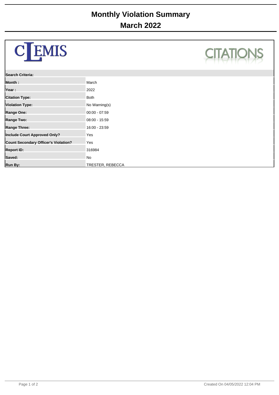| <b>C</b> EMIS                        |                         | <b>CITATIO</b> |
|--------------------------------------|-------------------------|----------------|
| Search Criteria:                     |                         |                |
| Month:                               | March                   |                |
| Year:                                | 2022                    |                |
| <b>Citation Type:</b>                | <b>Both</b>             |                |
| <b>Violation Type:</b>               | No Warning(s)           |                |
| Range One:                           | $00:00 - 07:59$         |                |
| Range Two:                           | $08:00 - 15:59$         |                |
| <b>Range Three:</b>                  | 16:00 - 23:59           |                |
| Include Court Approved Only?         | Yes                     |                |
| Count Secondary Officer's Violation? | Yes                     |                |
| <b>Report ID:</b>                    | 316984                  |                |
| Saved:                               | No                      |                |
| Run By:                              | <b>TRESTER, REBECCA</b> |                |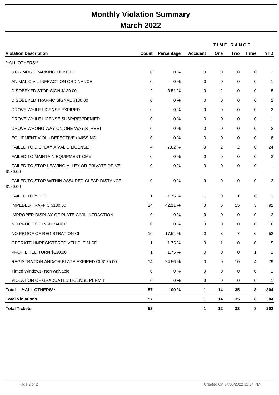# **Monthly Violation Summary March 2022**

|                                                           |       |            |                 |                | <b>TIME RANGE</b> |              |              |
|-----------------------------------------------------------|-------|------------|-----------------|----------------|-------------------|--------------|--------------|
| <b>Violation Description</b>                              | Count | Percentage | <b>Accident</b> | One            | Two               | <b>Three</b> | <b>YTD</b>   |
| **ALL OTHERS**                                            |       |            |                 |                |                   |              |              |
| <b>3 OR MORE PARKING TICKETS</b>                          | 0     | 0%         | 0               | 0              | 0                 | $\mathbf 0$  | $\mathbf{1}$ |
| ANIMAL CIVIL INFRACTION ORDINANCE                         | 0     | 0%         | $\mathbf 0$     | 0              | 0                 | 0            | 1            |
| DISOBEYED STOP SIGN \$130.00                              | 2     | 3.51 %     | 0               | 2              | 0                 | 0            | 5            |
| DISOBEYED TRAFFIC SIGNAL \$130.00                         | 0     | 0%         | 0               | 0              | 0                 | 0            | 2            |
| DROVE WHILE LICENSE EXPIRED                               | 0     | 0%         | 0               | 0              | 0                 | 0            | 3            |
| DROVE WHILE LICENSE SUSP/REV/DENIED                       | 0     | 0%         | 0               | 0              | 0                 | 0            | $\mathbf{1}$ |
| DROVE WRONG WAY ON ONE-WAY STREET                         | 0     | 0%         | 0               | 0              | 0                 | 0            | 2            |
| EQUIPMENT VIOL - DEFECTIVE / MISSING                      | 0     | 0%         | 0               | 0              | 0                 | 0            | 8            |
| FAILED TO DISPLAY A VALID LICENSE                         | 4     | 7.02 %     | 0               | $\overline{2}$ | 2                 | 0            | 24           |
| FAILED TO MAINTAIN EQUIPMENT CMV                          | 0     | 0%         | 0               | 0              | 0                 | 0            | 2            |
| FAILED TO STOP LEAVING ALLEY OR PRIVATE DRIVE<br>\$130.00 | 0     | 0%         | 0               | 0              | 0                 | 0            | 1            |
| FAILED TO STOP WITHIN ASSURED CLEAR DISTANCE<br>\$120.00  | 0     | 0%         | 0               | 0              | 0                 | $\pmb{0}$    | 2            |
| <b>FAILED TO YIELD</b>                                    | 1     | 1.75 %     | 1               | 0              | 1                 | 0            | 3            |
| <b>IMPEDED TRAFFIC \$180.00</b>                           | 24    | 42.11 %    | 0               | 6              | 15                | 3            | 92           |
| IMPROPER DISPLAY OF PLATE CIVIL INFRACTION                | 0     | 0%         | 0               | 0              | 0                 | 0            | 2            |
| NO PROOF OF INSURANCE                                     | 0     | 0%         | 0               | 0              | 0                 | 0            | 16           |
| NO PROOF OF REGISTRATION CI                               | 10    | 17.54 %    | 0               | 3              | $\overline{7}$    | 0            | 52           |
| OPERATE UNREGISTERED VEHICLE MISD                         | 1     | 1.75 %     | 0               | 1              | 0                 | 0            | 5            |
| PROHIBITED TURN \$130.00                                  | 1     | 1.75 %     | 0               | 0              | 0                 | 1            | 1            |
| REGISTRATION AND/OR PLATE EXPIRED CI \$175.00             | 14    | 24.56 %    | 0               | $\mathsf{O}$   | 10                | 4            | 79           |
| Tinted Windows- Non waivable                              | 0     | 0%         | 0               | $\mathsf{O}$   | 0                 | $\pmb{0}$    | 1            |
| VIOLATION OF GRADUATED LICENSE PERMIT                     | 0     | 0%         | 0               | 0              | 0                 | 0            | 1            |
| ** ALL OTHERS**<br><b>Total</b>                           | 57    | 100 %      | 1               | 14             | 35                | 8            | 304          |
| <b>Total Violations</b>                                   | 57    |            | 1               | 14             | 35                | 8            | 304          |
| <b>Total Tickets</b>                                      | 53    |            | 1               | 12             | 33                | 8            | 202          |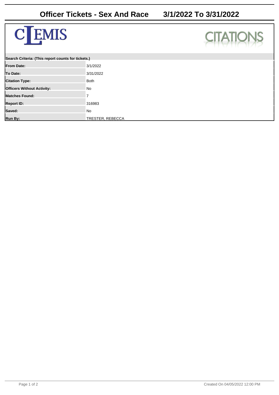



| Search Criteria: (This report counts for tickets.) |                  |  |  |  |  |
|----------------------------------------------------|------------------|--|--|--|--|
| <b>IFrom Date:</b>                                 | 3/1/2022         |  |  |  |  |
| To Date:                                           | 3/31/2022        |  |  |  |  |
| <b>Citation Type:</b>                              | <b>Both</b>      |  |  |  |  |
| <b>Officers Without Activity:</b>                  | No               |  |  |  |  |
| <b>IMatches Found:</b>                             |                  |  |  |  |  |
| <b>Report ID:</b>                                  | 316983           |  |  |  |  |
| Saved:                                             | No               |  |  |  |  |
| Run By:                                            | TRESTER, REBECCA |  |  |  |  |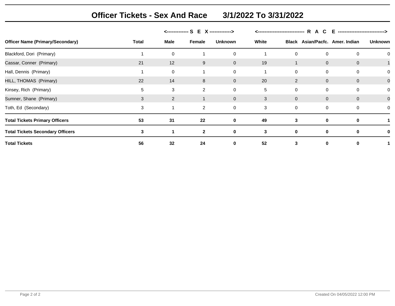**Officer Tickets - Sex And Race 3/1/2022 To 3/31/2022**

|                                         |       |             | <-------------- S E<br><b>X</b> --------------> |                |       | R.<br>___________________________ |             |                                 | -------------------------------> |  |
|-----------------------------------------|-------|-------------|-------------------------------------------------|----------------|-------|-----------------------------------|-------------|---------------------------------|----------------------------------|--|
| <b>Officer Name (Primary/Secondary)</b> | Total | <b>Male</b> | Female                                          | <b>Unknown</b> | White |                                   |             | Black Asian/Pacfc. Amer. Indian | <b>Unknown</b>                   |  |
| Blackford, Dori (Primary)               |       | 0           |                                                 | 0              |       | 0                                 | 0           | 0                               |                                  |  |
| Cassar, Conner (Primary)                | 21    | 12          | 9                                               | $\mathbf{0}$   | 19    |                                   | $\mathbf 0$ | $\mathbf 0$                     |                                  |  |
| Hall, Dennis (Primary)                  |       | 0           |                                                 | 0              |       | 0                                 | 0           | 0                               |                                  |  |
| HILL, THOMAS (Primary)                  | 22    | 14          | 8                                               | $\mathbf{0}$   | 20    | 2                                 | $\mathbf 0$ | $\overline{0}$                  | $\mathbf 0$                      |  |
| Kinsey, Rich (Primary)                  | 5     | 3           | 2                                               | 0              | 5     | 0                                 | $\mathbf 0$ | $\mathbf 0$                     |                                  |  |
| Sumner, Shane (Primary)                 | 3     | 2           | $\mathbf 1$                                     | $\mathbf 0$    | 3     | $\mathbf 0$                       | $\mathbf 0$ | $\overline{0}$                  | 0                                |  |
| Toth, Ed (Secondary)                    | 3     |             | $\overline{2}$                                  | 0              | 3     | 0                                 | 0           | $\Omega$                        |                                  |  |
| <b>Total Tickets Primary Officers</b>   | 53    | 31          | 22                                              | $\mathbf 0$    | 49    | 3                                 | $\mathbf 0$ | 0                               |                                  |  |
| <b>Total Tickets Secondary Officers</b> | 3     |             | $\mathbf{2}$                                    | 0              | 3     | 0                                 | 0           | $\bf{0}$                        |                                  |  |
| <b>Total Tickets</b>                    | 56    | 32          | 24                                              | $\mathbf 0$    | 52    | 3                                 | 0           |                                 |                                  |  |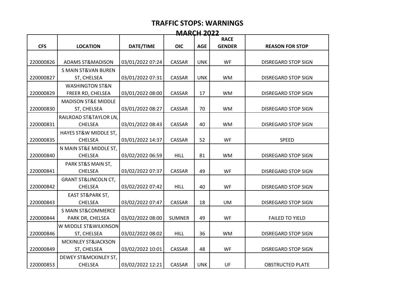| <b>MARCH 2022</b> |                                 |                  |               |            |               |                            |  |  |
|-------------------|---------------------------------|------------------|---------------|------------|---------------|----------------------------|--|--|
|                   |                                 |                  |               |            | <b>RACE</b>   |                            |  |  |
| <b>CFS</b>        | <b>LOCATION</b>                 | DATE/TIME        | <b>OIC</b>    | <b>AGE</b> | <b>GENDER</b> | <b>REASON FOR STOP</b>     |  |  |
|                   |                                 |                  |               |            |               |                            |  |  |
| 220000826         | <b>ADAMS ST&amp;MADISON</b>     | 03/01/2022 07:24 | CASSAR        | <b>UNK</b> | <b>WF</b>     | <b>DISREGARD STOP SIGN</b> |  |  |
|                   | <b>S MAIN ST&amp;VAN BUREN</b>  |                  |               |            |               |                            |  |  |
| 220000827         | ST, CHELSEA                     | 03/01/2022 07:31 | <b>CASSAR</b> | <b>UNK</b> | <b>WM</b>     | DISREGARD STOP SIGN        |  |  |
|                   | <b>WASHINGTON ST&amp;N</b>      |                  |               |            |               |                            |  |  |
| 220000829         | FREER RD, CHELSEA               | 03/01/2022 08:00 | CASSAR        | 17         | <b>WM</b>     | DISREGARD STOP SIGN        |  |  |
|                   | <b>MADISON ST&amp;E MIDDLE</b>  |                  |               |            |               |                            |  |  |
| 220000830         | ST, CHELSEA                     | 03/01/2022 08:27 | CASSAR        | 70         | <b>WM</b>     | DISREGARD STOP SIGN        |  |  |
|                   | RAILROAD ST&TAYLOR LN,          |                  |               |            |               |                            |  |  |
| 220000831         | <b>CHELSEA</b>                  | 03/01/2022 08:43 | CASSAR        | 40         | <b>WM</b>     | DISREGARD STOP SIGN        |  |  |
|                   | HAYES ST&W MIDDLE ST,           |                  |               |            |               |                            |  |  |
| 220000835         | <b>CHELSEA</b>                  | 03/01/2022 14:37 | CASSAR        | 52         | WF            | <b>SPEED</b>               |  |  |
|                   | N MAIN ST&E MIDDLE ST,          |                  |               |            |               |                            |  |  |
| 220000840         | <b>CHELSEA</b>                  | 03/02/2022 06:59 | <b>HILL</b>   | 81         | <b>WM</b>     | <b>DISREGARD STOP SIGN</b> |  |  |
|                   | PARK ST&S MAIN ST,              |                  |               |            |               |                            |  |  |
| 220000841         | <b>CHELSEA</b>                  | 03/02/2022 07:37 | CASSAR        | 49         | WF            | <b>DISREGARD STOP SIGN</b> |  |  |
|                   | <b>GRANT ST&amp;LINCOLN CT,</b> |                  |               |            |               |                            |  |  |
| 220000842         | <b>CHELSEA</b>                  | 03/02/2022 07:42 | <b>HILL</b>   | 40         | WF            | DISREGARD STOP SIGN        |  |  |
|                   | <b>EAST ST&amp;PARK ST,</b>     |                  |               |            |               |                            |  |  |
| 220000843         | <b>CHELSEA</b>                  | 03/02/2022 07:47 | CASSAR        | 18         | <b>UM</b>     | <b>DISREGARD STOP SIGN</b> |  |  |
|                   | <b>S MAIN ST&amp;COMMERCE</b>   |                  |               |            |               |                            |  |  |
| 220000844         | PARK DR, CHELSEA                | 03/02/2022 08:00 | <b>SUMNER</b> | 49         | WF            | <b>FAILED TO YIELD</b>     |  |  |
|                   | W MIDDLE ST&WILKINSON           |                  |               |            |               |                            |  |  |
| 220000846         | ST, CHELSEA                     | 03/02/2022 08:02 | <b>HILL</b>   | 36         | <b>WM</b>     | <b>DISREGARD STOP SIGN</b> |  |  |
|                   | MCKINLEY ST&JACKSON             |                  |               |            |               |                            |  |  |
| 220000849         | ST, CHELSEA                     | 03/02/2022 10:01 | CASSAR        | 48         | WF            | DISREGARD STOP SIGN        |  |  |
|                   | DEWEY ST&MCKINLEY ST,           |                  |               |            |               |                            |  |  |
| 220000853         | <b>CHELSEA</b>                  | 03/02/2022 12:21 | CASSAR        | <b>UNK</b> | UF            | <b>OBSTRUCTED PLATE</b>    |  |  |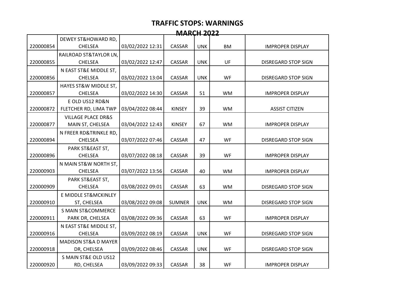| <b>MARCH 2022</b> |                                 |                  |               |            |           |                            |  |  |
|-------------------|---------------------------------|------------------|---------------|------------|-----------|----------------------------|--|--|
|                   | DEWEY ST&HOWARD RD,             |                  |               |            |           |                            |  |  |
| 220000854         | <b>CHELSEA</b>                  | 03/02/2022 12:31 | CASSAR        | <b>UNK</b> | <b>BM</b> | <b>IMPROPER DISPLAY</b>    |  |  |
|                   | RAILROAD ST&TAYLOR LN,          |                  |               |            |           |                            |  |  |
| 220000855         | <b>CHELSEA</b>                  | 03/02/2022 12:47 | <b>CASSAR</b> | <b>UNK</b> | UF        | <b>DISREGARD STOP SIGN</b> |  |  |
|                   | N EAST ST&E MIDDLE ST,          |                  |               |            |           |                            |  |  |
| 220000856         | <b>CHELSEA</b>                  | 03/02/2022 13:04 | CASSAR        | <b>UNK</b> | WF        | DISREGARD STOP SIGN        |  |  |
|                   | HAYES ST&W MIDDLE ST,           |                  |               |            |           |                            |  |  |
| 220000857         | <b>CHELSEA</b>                  | 03/02/2022 14:30 | <b>CASSAR</b> | 51         | <b>WM</b> | <b>IMPROPER DISPLAY</b>    |  |  |
|                   | E OLD US12 RD&N                 |                  |               |            |           |                            |  |  |
| 220000872         | FLETCHER RD, LIMA TWP           | 03/04/2022 08:44 | <b>KINSEY</b> | 39         | <b>WM</b> | <b>ASSIST CITIZEN</b>      |  |  |
|                   | <b>VILLAGE PLACE DR&amp;S</b>   |                  |               |            |           |                            |  |  |
| 220000877         | MAIN ST, CHELSEA                | 03/04/2022 12:43 | <b>KINSEY</b> | 67         | <b>WM</b> | <b>IMPROPER DISPLAY</b>    |  |  |
|                   | N FREER RD&TRINKLE RD,          |                  |               |            |           |                            |  |  |
| 220000894         | <b>CHELSEA</b>                  | 03/07/2022 07:46 | CASSAR        | 47         | <b>WF</b> | <b>DISREGARD STOP SIGN</b> |  |  |
|                   | PARK ST&EAST ST,                |                  |               |            |           |                            |  |  |
| 220000896         | <b>CHELSEA</b>                  | 03/07/2022 08:18 | CASSAR        | 39         | WF        | <b>IMPROPER DISPLAY</b>    |  |  |
|                   | N MAIN ST&W NORTH ST,           |                  |               |            |           |                            |  |  |
| 220000903         | <b>CHELSEA</b>                  | 03/07/2022 13:56 | CASSAR        | 40         | <b>WM</b> | <b>IMPROPER DISPLAY</b>    |  |  |
|                   | PARK ST&EAST ST,                |                  |               |            |           |                            |  |  |
| 220000909         | <b>CHELSEA</b>                  | 03/08/2022 09:01 | <b>CASSAR</b> | 63         | <b>WM</b> | <b>DISREGARD STOP SIGN</b> |  |  |
|                   | E MIDDLE ST&MCKINLEY            |                  |               |            |           |                            |  |  |
| 220000910         | ST, CHELSEA                     | 03/08/2022 09:08 | <b>SUMNER</b> | <b>UNK</b> | <b>WM</b> | <b>DISREGARD STOP SIGN</b> |  |  |
|                   | <b>S MAIN ST&amp;COMMERCE</b>   |                  |               |            |           |                            |  |  |
| 220000911         | PARK DR, CHELSEA                | 03/08/2022 09:36 | <b>CASSAR</b> | 63         | WF        | <b>IMPROPER DISPLAY</b>    |  |  |
|                   | N EAST ST&E MIDDLE ST,          |                  |               |            |           |                            |  |  |
| 220000916         | <b>CHELSEA</b>                  | 03/09/2022 08:19 | CASSAR        | <b>UNK</b> | WF        | <b>DISREGARD STOP SIGN</b> |  |  |
|                   | <b>MADISON ST&amp;A D MAYER</b> |                  |               |            |           |                            |  |  |
| 220000918         | DR, CHELSEA                     | 03/09/2022 08:46 | CASSAR        | <b>UNK</b> | WF        | <b>DISREGARD STOP SIGN</b> |  |  |
|                   | S MAIN ST&E OLD US12            |                  |               |            |           |                            |  |  |
| 220000920         | RD, CHELSEA                     | 03/09/2022 09:33 | CASSAR        | 38         | WF        | <b>IMPROPER DISPLAY</b>    |  |  |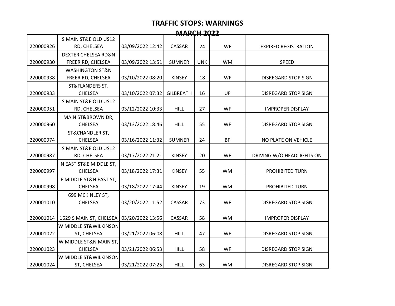| <b>MARCH 2022</b> |                                |                  |                  |            |           |                             |  |
|-------------------|--------------------------------|------------------|------------------|------------|-----------|-----------------------------|--|
|                   | S MAIN ST&E OLD US12           |                  |                  |            |           |                             |  |
| 220000926         | RD, CHELSEA                    | 03/09/2022 12:42 | CASSAR           | 24         | WF        | <b>EXPIRED REGISTRATION</b> |  |
|                   | <b>DEXTER CHELSEA RD&amp;N</b> |                  |                  |            |           |                             |  |
| 220000930         | FREER RD, CHELSEA              | 03/09/2022 13:51 | <b>SUMNER</b>    | <b>UNK</b> | <b>WM</b> | <b>SPEED</b>                |  |
|                   | <b>WASHINGTON ST&amp;N</b>     |                  |                  |            |           |                             |  |
| 220000938         | FREER RD, CHELSEA              | 03/10/2022 08:20 | <b>KINSEY</b>    | 18         | <b>WF</b> | DISREGARD STOP SIGN         |  |
|                   | ST&FLANDERS ST,                |                  |                  |            |           |                             |  |
| 220000933         | <b>CHELSEA</b>                 | 03/10/2022 07:32 | <b>GILBREATH</b> | 16         | UF        | <b>DISREGARD STOP SIGN</b>  |  |
|                   | S MAIN ST&E OLD US12           |                  |                  |            |           |                             |  |
| 220000951         | RD, CHELSEA                    | 03/12/2022 10:33 | <b>HILL</b>      | 27         | <b>WF</b> | <b>IMPROPER DISPLAY</b>     |  |
|                   | MAIN ST&BROWN DR,              |                  |                  |            |           |                             |  |
| 220000960         | <b>CHELSEA</b>                 | 03/13/2022 18:46 | <b>HILL</b>      | 55         | <b>WF</b> | <b>DISREGARD STOP SIGN</b>  |  |
|                   | ST&CHANDLER ST,                |                  |                  |            |           |                             |  |
| 220000974         | <b>CHELSEA</b>                 | 03/16/2022 11:32 | <b>SUMNER</b>    | 24         | <b>BF</b> | NO PLATE ON VEHICLE         |  |
|                   | S MAIN ST&E OLD US12           |                  |                  |            |           |                             |  |
| 220000987         | RD, CHELSEA                    | 03/17/2022 21:21 | <b>KINSEY</b>    | 20         | WF        | DRIVING W/O HEADLIGHTS ON   |  |
|                   | N EAST ST&E MIDDLE ST,         |                  |                  |            |           |                             |  |
| 220000997         | <b>CHELSEA</b>                 | 03/18/2022 17:31 | <b>KINSEY</b>    | 55         | <b>WM</b> | PROHIBITED TURN             |  |
|                   | E MIDDLE ST&N EAST ST,         |                  |                  |            |           |                             |  |
| 220000998         | CHELSEA                        | 03/18/2022 17:44 | <b>KINSEY</b>    | 19         | <b>WM</b> | PROHIBITED TURN             |  |
|                   | 699 MCKINLEY ST,               |                  |                  |            |           |                             |  |
| 220001010         | <b>CHELSEA</b>                 | 03/20/2022 11:52 | CASSAR           | 73         | <b>WF</b> | <b>DISREGARD STOP SIGN</b>  |  |
|                   |                                |                  |                  |            |           |                             |  |
| 220001014         | 1629 S MAIN ST, CHELSEA        | 03/20/2022 13:56 | <b>CASSAR</b>    | 58         | <b>WM</b> | <b>IMPROPER DISPLAY</b>     |  |
|                   | W MIDDLE ST&WILKINSON          |                  |                  |            |           |                             |  |
| 220001022         | ST, CHELSEA                    | 03/21/2022 06:08 | <b>HILL</b>      | 47         | WF        | <b>DISREGARD STOP SIGN</b>  |  |
|                   | W MIDDLE ST&N MAIN ST,         |                  |                  |            |           |                             |  |
| 220001023         | <b>CHELSEA</b>                 | 03/21/2022 06:53 | <b>HILL</b>      | 58         | WF        | DISREGARD STOP SIGN         |  |
|                   | W MIDDLE ST&WILKINSON          |                  |                  |            |           |                             |  |
| 220001024         | ST, CHELSEA                    | 03/21/2022 07:25 | <b>HILL</b>      | 63         | <b>WM</b> | DISREGARD STOP SIGN         |  |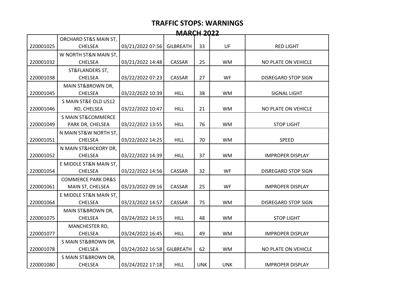| <b>MARCH 2022</b> |                               |                  |                  |            |            |                            |  |
|-------------------|-------------------------------|------------------|------------------|------------|------------|----------------------------|--|
|                   | ORCHARD ST&S MAIN ST,         |                  |                  |            |            |                            |  |
| 220001025         | <b>CHELSEA</b>                | 03/21/2022 07:56 | <b>GILBREATH</b> | 33         | UF         | <b>RED LIGHT</b>           |  |
|                   | W NORTH ST&N MAIN ST,         |                  |                  |            |            |                            |  |
| 220001032         | <b>CHELSEA</b>                | 03/21/2022 14:48 | <b>CASSAR</b>    | 25         | <b>WM</b>  | NO PLATE ON VEHICLE        |  |
|                   | ST&FLANDERS ST,               |                  |                  |            |            |                            |  |
| 220001038         | <b>CHELSEA</b>                | 03/22/2022 07:23 | CASSAR           | 27         | WF         | <b>DISREGARD STOP SIGN</b> |  |
|                   | MAIN ST&BROWN DR,             |                  |                  |            |            |                            |  |
| 220001045         | <b>CHELSEA</b>                | 03/22/2022 10:39 | <b>HILL</b>      | 38         | <b>WM</b>  | <b>SIGNAL LIGHT</b>        |  |
|                   | S MAIN ST&E OLD US12          |                  |                  |            |            |                            |  |
| 220001046         | RD, CHELSEA                   | 03/22/2022 10:47 | <b>HILL</b>      | 21         | <b>WM</b>  | NO PLATE ON VEHICLE        |  |
|                   | <b>S MAIN ST&amp;COMMERCE</b> |                  |                  |            |            |                            |  |
| 220001049         | PARK DR, CHELSEA              | 03/22/2022 13:55 | <b>HILL</b>      | 76         | <b>WM</b>  | <b>STOP LIGHT</b>          |  |
|                   | N MAIN ST&W NORTH ST,         |                  |                  |            |            |                            |  |
| 220001051         | <b>CHELSEA</b>                | 03/22/2022 14:25 | <b>HILL</b>      | 70         | <b>WM</b>  | <b>SPEED</b>               |  |
|                   | N MAIN ST&HICKORY DR,         |                  |                  |            |            |                            |  |
| 220001052         | <b>CHELSEA</b>                | 03/22/2022 14:39 | <b>HILL</b>      | 37         | <b>WM</b>  | <b>IMPROPER DISPLAY</b>    |  |
|                   | E MIDDLE ST&N MAIN ST,        |                  |                  |            |            |                            |  |
| 220001054         | <b>CHELSEA</b>                | 03/22/2022 14:56 | CASSAR           | 32         | WF         | <b>DISREGARD STOP SIGN</b> |  |
|                   | <b>COMMERCE PARK DR&amp;S</b> |                  |                  |            |            |                            |  |
| 220001061         | MAIN ST, CHELSEA              | 03/23/2022 09:16 | CASSAR           | 25         | WF         | <b>IMPROPER DISPLAY</b>    |  |
|                   | E MIDDLE ST&N MAIN ST,        |                  |                  |            |            |                            |  |
| 220001064         | <b>CHELSEA</b>                | 03/23/2022 14:57 | CASSAR           | 75         | <b>WM</b>  | <b>DISREGARD STOP SIGN</b> |  |
|                   | MAIN ST&BROWN DR,             |                  |                  |            |            |                            |  |
| 220001075         | <b>CHELSEA</b>                | 03/24/2022 14:15 | <b>HILL</b>      | 48         | <b>WM</b>  | <b>STOP LIGHT</b>          |  |
|                   | MANCHESTER RD,                |                  |                  |            |            |                            |  |
| 220001077         | CHELSEA                       | 03/24/2022 16:45 | <b>HILL</b>      | 49         | <b>WM</b>  | <b>IMPROPER DISPLAY</b>    |  |
|                   | S MAIN ST&BROWN DR,           |                  |                  |            |            |                            |  |
| 220001078         | <b>CHELSEA</b>                | 03/24/2022 16:58 | <b>GILBREATH</b> | 62         | <b>WM</b>  | NO PLATE ON VEHICLE        |  |
|                   | S MAIN ST&BROWN DR,           |                  |                  |            |            |                            |  |
| 220001080         | <b>CHELSEA</b>                | 03/24/2022 17:18 | <b>HILL</b>      | <b>UNK</b> | <b>UNK</b> | <b>IMPROPER DISPLAY</b>    |  |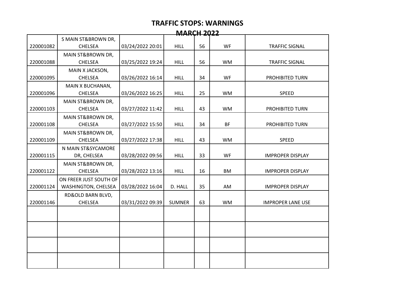| <b>MARCH 2022</b> |                        |                  |               |    |           |                          |  |  |
|-------------------|------------------------|------------------|---------------|----|-----------|--------------------------|--|--|
|                   | S MAIN ST&BROWN DR,    |                  |               |    |           |                          |  |  |
| 220001082         | <b>CHELSEA</b>         | 03/24/2022 20:01 | <b>HILL</b>   | 56 | <b>WF</b> | <b>TRAFFIC SIGNAL</b>    |  |  |
|                   | MAIN ST&BROWN DR,      |                  |               |    |           |                          |  |  |
| 220001088         | <b>CHELSEA</b>         | 03/25/2022 19:24 | <b>HILL</b>   | 56 | <b>WM</b> | <b>TRAFFIC SIGNAL</b>    |  |  |
|                   | MAIN X JACKSON,        |                  |               |    |           |                          |  |  |
| 220001095         | <b>CHELSEA</b>         | 03/26/2022 16:14 | <b>HILL</b>   | 34 | WF        | PROHIBITED TURN          |  |  |
|                   | MAIN X BUCHANAN,       |                  |               |    |           |                          |  |  |
| 220001096         | <b>CHELSEA</b>         | 03/26/2022 16:25 | <b>HILL</b>   | 25 | <b>WM</b> | <b>SPEED</b>             |  |  |
|                   | MAIN ST&BROWN DR,      |                  |               |    |           |                          |  |  |
| 220001103         | CHELSEA                | 03/27/2022 11:42 | <b>HILL</b>   | 43 | <b>WM</b> | PROHIBITED TURN          |  |  |
|                   | MAIN ST&BROWN DR,      |                  |               |    |           |                          |  |  |
| 220001108         | <b>CHELSEA</b>         | 03/27/2022 15:50 | <b>HILL</b>   | 34 | <b>BF</b> | PROHIBITED TURN          |  |  |
|                   | MAIN ST&BROWN DR,      |                  |               |    |           |                          |  |  |
| 220001109         | <b>CHELSEA</b>         | 03/27/2022 17:38 | <b>HILL</b>   | 43 | <b>WM</b> | <b>SPEED</b>             |  |  |
|                   | N MAIN ST&SYCAMORE     |                  |               |    |           |                          |  |  |
| 220001115         | DR, CHELSEA            | 03/28/2022 09:56 | <b>HILL</b>   | 33 | <b>WF</b> | <b>IMPROPER DISPLAY</b>  |  |  |
|                   | MAIN ST&BROWN DR,      |                  |               |    |           |                          |  |  |
| 220001122         | CHELSEA                | 03/28/2022 13:16 | <b>HILL</b>   | 16 | <b>BM</b> | <b>IMPROPER DISPLAY</b>  |  |  |
|                   | ON FREER JUST SOUTH OF |                  |               |    |           |                          |  |  |
| 220001124         | WASHINGTON, CHELSEA    | 03/28/2022 16:04 | D. HALL       | 35 | AM        | <b>IMPROPER DISPLAY</b>  |  |  |
|                   | RD&OLD BARN BLVD,      |                  |               |    |           |                          |  |  |
| 220001146         | <b>CHELSEA</b>         | 03/31/2022 09:39 | <b>SUMNER</b> | 63 | <b>WM</b> | <b>IMPROPER LANE USE</b> |  |  |
|                   |                        |                  |               |    |           |                          |  |  |
|                   |                        |                  |               |    |           |                          |  |  |
|                   |                        |                  |               |    |           |                          |  |  |
|                   |                        |                  |               |    |           |                          |  |  |
|                   |                        |                  |               |    |           |                          |  |  |
|                   |                        |                  |               |    |           |                          |  |  |
|                   |                        |                  |               |    |           |                          |  |  |
|                   |                        |                  |               |    |           |                          |  |  |